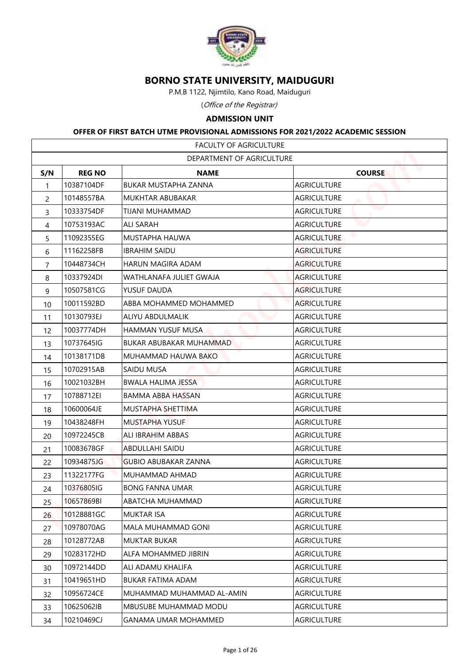

## **BORNO STATE UNIVERSITY, MAIDUGURI**

## **ADMISSION UNIT**

## **OFFER OF FIRST BATCH UTME PROVISIONAL ADMISSIONS FOR 2021/2022 ACADEMIC SESSION**

|                |               | <b>BORNO STATE UNIVERSITY, MAIDUGURI</b>                                        |                    |  |
|----------------|---------------|---------------------------------------------------------------------------------|--------------------|--|
|                |               | P.M.B 1122, Njimtilo, Kano Road, Maiduguri                                      |                    |  |
|                |               | (Office of the Registrar)                                                       |                    |  |
|                |               | <b>ADMISSION UNIT</b>                                                           |                    |  |
|                |               | OFFER OF FIRST BATCH UTME PROVISIONAL ADMISSIONS FOR 2021/2022 ACADEMIC SESSION |                    |  |
|                |               | FACULTY OF AGRICULTURE                                                          |                    |  |
|                |               | DEPARTMENT OF AGRICULTURE                                                       |                    |  |
| S/N            | <b>REG NO</b> | <b>NAME</b>                                                                     | <b>COURSE</b>      |  |
| 1              | 10387104DF    | <b>BUKAR MUSTAPHA ZANNA</b>                                                     | <b>AGRICULTURE</b> |  |
| $\overline{2}$ | 10148557BA    | MUKHTAR ABUBAKAR                                                                | <b>AGRICULTURE</b> |  |
| 3              | 10333754DF    | TIJANI MUHAMMAD                                                                 | <b>AGRICULTURE</b> |  |
| 4              | 10753193AC    | <b>ALI SARAH</b>                                                                | <b>AGRICULTURE</b> |  |
| 5              | 11092355EG    | MUSTAPHA HAUWA                                                                  | <b>AGRICULTURE</b> |  |
| 6              | 11162258FB    | <b>IBRAHIM SAIDU</b>                                                            | <b>AGRICULTURE</b> |  |
| $\overline{7}$ | 10448734CH    | HARUN MAGIRA ADAM                                                               | <b>AGRICULTURE</b> |  |
| 8              | 10337924DI    | WATHLANAFA JULIET GWAJA                                                         | <b>AGRICULTURE</b> |  |
| 9              | 10507581CG    | YUSUF DAUDA                                                                     | <b>AGRICULTURE</b> |  |
| 10             | 10011592BD    | ABBA MOHAMMED MOHAMMED                                                          | <b>AGRICULTURE</b> |  |
| 11             | 10130793EJ    | ALIYU ABDULMALIK                                                                | <b>AGRICULTURE</b> |  |
| 12             | 10037774DH    | HAMMAN YUSUF MUSA                                                               | <b>AGRICULTURE</b> |  |
| 13             | 10737645IG    | BUKAR ABUBAKAR MUHAMMAD                                                         | <b>AGRICULTURE</b> |  |
| 14             | 10138171DB    | MUHAMMAD HAUWA BAKO                                                             | <b>AGRICULTURE</b> |  |
| 15             | 10702915AB    | SAIDU MUSA                                                                      | <b>AGRICULTURE</b> |  |
| 16             | 10021032BH    | <b>BWALA HALIMA JESSA</b>                                                       | <b>AGRICULTURE</b> |  |
| 17             | 10788712EI    | BAMMA ABBA HASSAN                                                               | <b>AGRICULTURE</b> |  |
| 18             | 10600064JE    | MUSTAPHA SHETTIMA                                                               | <b>AGRICULTURE</b> |  |
| 19             | 10438248FH    | <b>MUSTAPHA YUSUF</b>                                                           | <b>AGRICULTURE</b> |  |
| 20             | 10972245CB    | ALI IBRAHIM ABBAS                                                               | <b>AGRICULTURE</b> |  |
| 21             | 10083678GF    | ABDULLAHI SAIDU                                                                 | <b>AGRICULTURE</b> |  |
| 22             | 10934875JG    | <b>GUBIO ABUBAKAR ZANNA</b>                                                     | <b>AGRICULTURE</b> |  |
| 23             | 11322177FG    | MUHAMMAD AHMAD                                                                  | <b>AGRICULTURE</b> |  |
| 24             | 10376805IG    | <b>BONG FANNA UMAR</b>                                                          | <b>AGRICULTURE</b> |  |
| 25             | 10657869BI    | ABATCHA MUHAMMAD                                                                | <b>AGRICULTURE</b> |  |
| 26             | 10128881GC    | <b>MUKTAR ISA</b>                                                               | <b>AGRICULTURE</b> |  |
| 27             | 10978070AG    | MALA MUHAMMAD GONI                                                              | <b>AGRICULTURE</b> |  |
| 28             | 10128772AB    | <b>MUKTAR BUKAR</b>                                                             | <b>AGRICULTURE</b> |  |
| 29             | 10283172HD    | ALFA MOHAMMED JIBRIN                                                            | <b>AGRICULTURE</b> |  |
| 30             | 10972144DD    | ALI ADAMU KHALIFA                                                               | <b>AGRICULTURE</b> |  |
| 31             | 10419651HD    | BUKAR FATIMA ADAM                                                               | <b>AGRICULTURE</b> |  |
| 32             | 10956724CE    | MUHAMMAD MUHAMMAD AL-AMIN                                                       | <b>AGRICULTURE</b> |  |
| 33             | 10625062IB    | MBUSUBE MUHAMMAD MODU                                                           | <b>AGRICULTURE</b> |  |
| 34             | 10210469CJ    | <b>GANAMA UMAR MOHAMMED</b>                                                     | <b>AGRICULTURE</b> |  |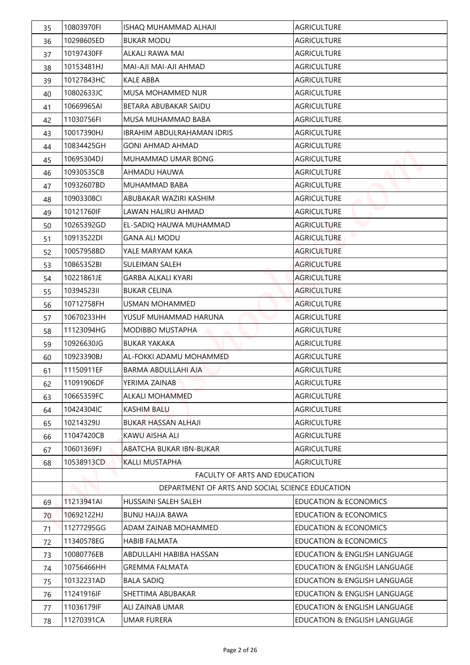| 35 | 10803970FI | ISHAO MUHAMMAD ALHAJI                           | <b>AGRICULTURE</b>               |
|----|------------|-------------------------------------------------|----------------------------------|
| 36 | 10298605ED | <b>BUKAR MODU</b>                               | <b>AGRICULTURE</b>               |
| 37 | 10197430FF | <b>ALKALI RAWA MAI</b>                          | <b>AGRICULTURE</b>               |
| 38 | 10153481HJ | MAI-AJI MAI-AJI AHMAD                           | <b>AGRICULTURE</b>               |
| 39 | 10127843HC | <b>KALE ABBA</b>                                | <b>AGRICULTURE</b>               |
| 40 | 10802633JC | <b>MUSA MOHAMMED NUR</b>                        | <b>AGRICULTURE</b>               |
| 41 | 10669965AI | BETARA ABUBAKAR SAIDU                           | <b>AGRICULTURE</b>               |
| 42 | 11030756FI | MUSA MUHAMMAD BABA                              | <b>AGRICULTURE</b>               |
| 43 | 10017390HJ | <b>IBRAHIM ABDULRAHAMAN IDRIS</b>               | <b>AGRICULTURE</b>               |
| 44 | 10834425GH | <b>GONI AHMAD AHMAD</b>                         | <b>AGRICULTURE</b>               |
| 45 | 10695304DJ | MUHAMMAD UMAR BONG                              | <b>AGRICULTURE</b>               |
| 46 | 10930535CB | AHMADU HAUWA                                    | <b>AGRICULTURE</b>               |
| 47 | 10932607BD | MUHAMMAD BABA                                   | <b>AGRICULTURE</b>               |
| 48 | 10903308CI | ABUBAKAR WAZIRI KASHIM                          | <b>AGRICULTURE</b>               |
| 49 | 10121760IF | LAWAN HALIRU AHMAD                              | <b>AGRICULTURE</b>               |
| 50 | 10265392GD | EL-SADIQ HAUWA MUHAMMAD                         | <b>AGRICULTURE</b>               |
| 51 | 10913522DI | <b>GANA ALI MODU</b>                            | <b>AGRICULTURE</b>               |
| 52 | 10057958BD | YALE MARYAM KAKA                                | <b>AGRICULTURE</b>               |
| 53 | 10865352BI | <b>SULEIMAN SALEH</b>                           | <b>AGRICULTURE</b>               |
| 54 | 10221861JE | <b>GARBA ALKALI KYARI</b>                       | <b>AGRICULTURE</b>               |
| 55 | 1039452311 | <b>BUKAR CELINA</b>                             | <b>AGRICULTURE</b>               |
| 56 | 10712758FH | <b>USMAN MOHAMMED</b>                           | <b>AGRICULTURE</b>               |
| 57 | 10670233HH | YUSUF MUHAMMAD HARUNA                           | <b>AGRICULTURE</b>               |
| 58 | 11123094HG | <b>MODIBBO MUSTAPHA</b>                         | <b>AGRICULTURE</b>               |
| 59 | 10926630JG | <b>BUKAR YAKAKA</b>                             | <b>AGRICULTURE</b>               |
| 60 | 10923390BJ | AL-FOKKI ADAMU MOHAMMED                         | <b>AGRICULTURE</b>               |
| 61 | 11150911EF | BARMA ABDULLAHI AJA                             | <b>AGRICULTURE</b>               |
| 62 | 11091906DF | YERIMA ZAINAB                                   | <b>AGRICULTURE</b>               |
| 63 | 10665359FC | ALKALI MOHAMMED                                 | <b>AGRICULTURE</b>               |
| 64 | 10424304IC | <b>KASHIM BALU</b>                              | <b>AGRICULTURE</b>               |
| 65 | 10214329IJ | BUKAR HASSAN ALHAJI                             | <b>AGRICULTURE</b>               |
| 66 | 11047420CB | KAWU AISHA ALI                                  | <b>AGRICULTURE</b>               |
| 67 | 10601369FJ | ABATCHA BUKAR IBN-BUKAR                         | <b>AGRICULTURE</b>               |
| 68 | 10538913CD | <b>KALLI MUSTAPHA</b>                           | <b>AGRICULTURE</b>               |
|    |            | FACULTY OF ARTS AND EDUCATION                   |                                  |
|    |            | DEPARTMENT OF ARTS AND SOCIAL SCIENCE EDUCATION |                                  |
| 69 | 11213941AI | HUSSAINI SALEH SALEH                            | <b>EDUCATION &amp; ECONOMICS</b> |
| 70 | 10692122HJ | <b>BUNU HAJJA BAWA</b>                          | <b>EDUCATION &amp; ECONOMICS</b> |
| 71 | 11277295GG | ADAM ZAINAB MOHAMMED                            | <b>EDUCATION &amp; ECONOMICS</b> |
| 72 | 11340578EG | <b>HABIB FALMATA</b>                            | <b>EDUCATION &amp; ECONOMICS</b> |
| 73 | 10080776EB | ABDULLAHI HABIBA HASSAN                         | EDUCATION & ENGLISH LANGUAGE     |
| 74 | 10756466HH | <b>GREMMA FALMATA</b>                           | EDUCATION & ENGLISH LANGUAGE     |
| 75 | 10132231AD | <b>BALA SADIQ</b>                               | EDUCATION & ENGLISH LANGUAGE     |
| 76 | 11241916IF | SHETTIMA ABUBAKAR                               | EDUCATION & ENGLISH LANGUAGE     |
| 77 | 11036179IF | ALI ZAINAB UMAR                                 | EDUCATION & ENGLISH LANGUAGE     |
| 78 | 11270391CA | <b>UMAR FURERA</b>                              | EDUCATION & ENGLISH LANGUAGE     |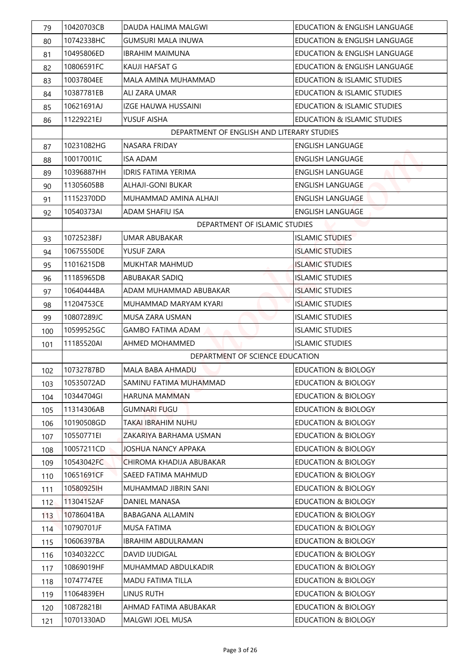| 10742338HC<br><b>GUMSURI MALA INUWA</b><br>EDUCATION & ENGLISH LANGUAGE<br>10495806ED<br>IBRAHIM MAIMUNA<br>EDUCATION & ENGLISH LANGUAGE<br>10806591FC<br>EDUCATION & ENGLISH LANGUAGE<br>KAUJI HAFSAT G<br>10037804EE<br>MALA AMINA MUHAMMAD<br><b>EDUCATION &amp; ISLAMIC STUDIES</b><br>10387781EB<br>ALI ZARA UMAR<br>EDUCATION & ISLAMIC STUDIES<br>84<br>10621691AJ<br><b>EDUCATION &amp; ISLAMIC STUDIES</b><br>IZGE HAUWA HUSSAINI<br>11229221EJ<br>YUSUF AISHA<br><b>EDUCATION &amp; ISLAMIC STUDIES</b><br>DEPARTMENT OF ENGLISH AND LITERARY STUDIES<br>10231082HG<br>NASARA FRIDAY<br><b>ENGLISH LANGUAGE</b><br>10017001IC<br><b>ISA ADAM</b><br><b>ENGLISH LANGUAGE</b><br>10396887HH<br><b>IDRIS FATIMA YERIMA</b><br><b>ENGLISH LANGUAGE</b><br>89<br>11305605BB<br><b>ALHAJI-GONI BUKAR</b><br><b>ENGLISH LANGUAGE</b><br>90<br>11152370DD<br><b>ENGLISH LANGUAGE</b><br>MUHAMMAD AMINA ALHAJI<br>10540373AI<br>ADAM SHAFIU ISA<br><b>ENGLISH LANGUAGE</b><br>DEPARTMENT OF ISLAMIC STUDIES<br>10725238FJ<br><b>ISLAMIC STUDIES</b><br><b>UMAR ABUBAKAR</b><br>10675550DE<br>YUSUF ZARA<br><b>ISLAMIC STUDIES</b><br>11016215DB<br><b>MUKHTAR MAHMUD</b><br><b>ISLAMIC STUDIES</b><br>11185965DB<br><b>ISLAMIC STUDIES</b><br>ABUBAKAR SADIQ<br>10640444BA<br>ADAM MUHAMMAD ABUBAKAR<br><b>ISLAMIC STUDIES</b><br>97<br>11204753CE<br>MUHAMMAD MARYAM KYARI<br><b>ISLAMIC STUDIES</b><br>98<br>10807289JC<br><b>ISLAMIC STUDIES</b><br>MUSA ZARA USMAN<br>99<br>10599525GC<br><b>GAMBO FATIMA ADAM</b><br><b>ISLAMIC STUDIES</b><br>11185520AI<br><b>AHMED MOHAMMED</b><br><b>ISLAMIC STUDIES</b><br>101<br>DEPARTMENT OF SCIENCE EDUCATION<br>10732787BD<br><b>EDUCATION &amp; BIOLOGY</b><br>MALA BABA AHMADU<br>102<br>10535072AD<br><b>EDUCATION &amp; BIOLOGY</b><br>SAMINU FATIMA MUHAMMAD<br>103<br>10344704GI<br>HARUNA MAMMAN<br>EDUCATION & BIOLOGY<br>104<br>11314306AB<br><b>GUMNARI FUGU</b><br>EDUCATION & BIOLOGY<br>105<br>10190508GD<br>TAKAI IBRAHIM NUHU<br>EDUCATION & BIOLOGY<br>106<br>10550771EI<br>ZAKARIYA BARHAMA USMAN<br><b>EDUCATION &amp; BIOLOGY</b><br>107<br>10057211CD<br><b>JOSHUA NANCY APPAKA</b><br><b>EDUCATION &amp; BIOLOGY</b><br>108<br>10543042FC<br>EDUCATION & BIOLOGY<br>CHIROMA KHADIJA ABUBAKAR<br>109<br>10651691CF<br>SAEED FATIMA MAHMUD<br>EDUCATION & BIOLOGY<br>110<br><b>EDUCATION &amp; BIOLOGY</b><br>10580925IH<br>MUHAMMAD JIBRIN SANI<br>111<br><b>EDUCATION &amp; BIOLOGY</b><br>11304152AF<br>DANIEL MANASA<br>112<br>10786041BA<br><b>BABAGANA ALLAMIN</b><br>EDUCATION & BIOLOGY<br>113<br><b>EDUCATION &amp; BIOLOGY</b><br>10790701JF<br>MUSA FATIMA<br>114<br>10606397BA<br><b>EDUCATION &amp; BIOLOGY</b><br><b>IBRAHIM ABDULRAMAN</b><br>115<br>10340322CC<br>DAVID IJUDIGAL<br><b>EDUCATION &amp; BIOLOGY</b><br>116 | 79         | 10420703CB | DAUDA HALIMA MALGWI | EDUCATION & ENGLISH LANGUAGE |
|--------------------------------------------------------------------------------------------------------------------------------------------------------------------------------------------------------------------------------------------------------------------------------------------------------------------------------------------------------------------------------------------------------------------------------------------------------------------------------------------------------------------------------------------------------------------------------------------------------------------------------------------------------------------------------------------------------------------------------------------------------------------------------------------------------------------------------------------------------------------------------------------------------------------------------------------------------------------------------------------------------------------------------------------------------------------------------------------------------------------------------------------------------------------------------------------------------------------------------------------------------------------------------------------------------------------------------------------------------------------------------------------------------------------------------------------------------------------------------------------------------------------------------------------------------------------------------------------------------------------------------------------------------------------------------------------------------------------------------------------------------------------------------------------------------------------------------------------------------------------------------------------------------------------------------------------------------------------------------------------------------------------------------------------------------------------------------------------------------------------------------------------------------------------------------------------------------------------------------------------------------------------------------------------------------------------------------------------------------------------------------------------------------------------------------------------------------------------------------------------------------------------------------------------------------------------------------------------------------------------------------------------------------------------------------------------------------------------------------------------------------------------------------------------------------------|------------|------------|---------------------|------------------------------|
|                                                                                                                                                                                                                                                                                                                                                                                                                                                                                                                                                                                                                                                                                                                                                                                                                                                                                                                                                                                                                                                                                                                                                                                                                                                                                                                                                                                                                                                                                                                                                                                                                                                                                                                                                                                                                                                                                                                                                                                                                                                                                                                                                                                                                                                                                                                                                                                                                                                                                                                                                                                                                                                                                                                                                                                                              | 80         |            |                     |                              |
|                                                                                                                                                                                                                                                                                                                                                                                                                                                                                                                                                                                                                                                                                                                                                                                                                                                                                                                                                                                                                                                                                                                                                                                                                                                                                                                                                                                                                                                                                                                                                                                                                                                                                                                                                                                                                                                                                                                                                                                                                                                                                                                                                                                                                                                                                                                                                                                                                                                                                                                                                                                                                                                                                                                                                                                                              | 81         |            |                     |                              |
|                                                                                                                                                                                                                                                                                                                                                                                                                                                                                                                                                                                                                                                                                                                                                                                                                                                                                                                                                                                                                                                                                                                                                                                                                                                                                                                                                                                                                                                                                                                                                                                                                                                                                                                                                                                                                                                                                                                                                                                                                                                                                                                                                                                                                                                                                                                                                                                                                                                                                                                                                                                                                                                                                                                                                                                                              | 82         |            |                     |                              |
|                                                                                                                                                                                                                                                                                                                                                                                                                                                                                                                                                                                                                                                                                                                                                                                                                                                                                                                                                                                                                                                                                                                                                                                                                                                                                                                                                                                                                                                                                                                                                                                                                                                                                                                                                                                                                                                                                                                                                                                                                                                                                                                                                                                                                                                                                                                                                                                                                                                                                                                                                                                                                                                                                                                                                                                                              | 83         |            |                     |                              |
|                                                                                                                                                                                                                                                                                                                                                                                                                                                                                                                                                                                                                                                                                                                                                                                                                                                                                                                                                                                                                                                                                                                                                                                                                                                                                                                                                                                                                                                                                                                                                                                                                                                                                                                                                                                                                                                                                                                                                                                                                                                                                                                                                                                                                                                                                                                                                                                                                                                                                                                                                                                                                                                                                                                                                                                                              |            |            |                     |                              |
|                                                                                                                                                                                                                                                                                                                                                                                                                                                                                                                                                                                                                                                                                                                                                                                                                                                                                                                                                                                                                                                                                                                                                                                                                                                                                                                                                                                                                                                                                                                                                                                                                                                                                                                                                                                                                                                                                                                                                                                                                                                                                                                                                                                                                                                                                                                                                                                                                                                                                                                                                                                                                                                                                                                                                                                                              | 85         |            |                     |                              |
|                                                                                                                                                                                                                                                                                                                                                                                                                                                                                                                                                                                                                                                                                                                                                                                                                                                                                                                                                                                                                                                                                                                                                                                                                                                                                                                                                                                                                                                                                                                                                                                                                                                                                                                                                                                                                                                                                                                                                                                                                                                                                                                                                                                                                                                                                                                                                                                                                                                                                                                                                                                                                                                                                                                                                                                                              | 86         |            |                     |                              |
|                                                                                                                                                                                                                                                                                                                                                                                                                                                                                                                                                                                                                                                                                                                                                                                                                                                                                                                                                                                                                                                                                                                                                                                                                                                                                                                                                                                                                                                                                                                                                                                                                                                                                                                                                                                                                                                                                                                                                                                                                                                                                                                                                                                                                                                                                                                                                                                                                                                                                                                                                                                                                                                                                                                                                                                                              |            |            |                     |                              |
|                                                                                                                                                                                                                                                                                                                                                                                                                                                                                                                                                                                                                                                                                                                                                                                                                                                                                                                                                                                                                                                                                                                                                                                                                                                                                                                                                                                                                                                                                                                                                                                                                                                                                                                                                                                                                                                                                                                                                                                                                                                                                                                                                                                                                                                                                                                                                                                                                                                                                                                                                                                                                                                                                                                                                                                                              | 87         |            |                     |                              |
|                                                                                                                                                                                                                                                                                                                                                                                                                                                                                                                                                                                                                                                                                                                                                                                                                                                                                                                                                                                                                                                                                                                                                                                                                                                                                                                                                                                                                                                                                                                                                                                                                                                                                                                                                                                                                                                                                                                                                                                                                                                                                                                                                                                                                                                                                                                                                                                                                                                                                                                                                                                                                                                                                                                                                                                                              | 88         |            |                     |                              |
|                                                                                                                                                                                                                                                                                                                                                                                                                                                                                                                                                                                                                                                                                                                                                                                                                                                                                                                                                                                                                                                                                                                                                                                                                                                                                                                                                                                                                                                                                                                                                                                                                                                                                                                                                                                                                                                                                                                                                                                                                                                                                                                                                                                                                                                                                                                                                                                                                                                                                                                                                                                                                                                                                                                                                                                                              |            |            |                     |                              |
|                                                                                                                                                                                                                                                                                                                                                                                                                                                                                                                                                                                                                                                                                                                                                                                                                                                                                                                                                                                                                                                                                                                                                                                                                                                                                                                                                                                                                                                                                                                                                                                                                                                                                                                                                                                                                                                                                                                                                                                                                                                                                                                                                                                                                                                                                                                                                                                                                                                                                                                                                                                                                                                                                                                                                                                                              |            |            |                     |                              |
|                                                                                                                                                                                                                                                                                                                                                                                                                                                                                                                                                                                                                                                                                                                                                                                                                                                                                                                                                                                                                                                                                                                                                                                                                                                                                                                                                                                                                                                                                                                                                                                                                                                                                                                                                                                                                                                                                                                                                                                                                                                                                                                                                                                                                                                                                                                                                                                                                                                                                                                                                                                                                                                                                                                                                                                                              | 91         |            |                     |                              |
|                                                                                                                                                                                                                                                                                                                                                                                                                                                                                                                                                                                                                                                                                                                                                                                                                                                                                                                                                                                                                                                                                                                                                                                                                                                                                                                                                                                                                                                                                                                                                                                                                                                                                                                                                                                                                                                                                                                                                                                                                                                                                                                                                                                                                                                                                                                                                                                                                                                                                                                                                                                                                                                                                                                                                                                                              | 92         |            |                     |                              |
|                                                                                                                                                                                                                                                                                                                                                                                                                                                                                                                                                                                                                                                                                                                                                                                                                                                                                                                                                                                                                                                                                                                                                                                                                                                                                                                                                                                                                                                                                                                                                                                                                                                                                                                                                                                                                                                                                                                                                                                                                                                                                                                                                                                                                                                                                                                                                                                                                                                                                                                                                                                                                                                                                                                                                                                                              |            |            |                     |                              |
|                                                                                                                                                                                                                                                                                                                                                                                                                                                                                                                                                                                                                                                                                                                                                                                                                                                                                                                                                                                                                                                                                                                                                                                                                                                                                                                                                                                                                                                                                                                                                                                                                                                                                                                                                                                                                                                                                                                                                                                                                                                                                                                                                                                                                                                                                                                                                                                                                                                                                                                                                                                                                                                                                                                                                                                                              | 93         |            |                     |                              |
|                                                                                                                                                                                                                                                                                                                                                                                                                                                                                                                                                                                                                                                                                                                                                                                                                                                                                                                                                                                                                                                                                                                                                                                                                                                                                                                                                                                                                                                                                                                                                                                                                                                                                                                                                                                                                                                                                                                                                                                                                                                                                                                                                                                                                                                                                                                                                                                                                                                                                                                                                                                                                                                                                                                                                                                                              | 94         |            |                     |                              |
|                                                                                                                                                                                                                                                                                                                                                                                                                                                                                                                                                                                                                                                                                                                                                                                                                                                                                                                                                                                                                                                                                                                                                                                                                                                                                                                                                                                                                                                                                                                                                                                                                                                                                                                                                                                                                                                                                                                                                                                                                                                                                                                                                                                                                                                                                                                                                                                                                                                                                                                                                                                                                                                                                                                                                                                                              | 95         |            |                     |                              |
|                                                                                                                                                                                                                                                                                                                                                                                                                                                                                                                                                                                                                                                                                                                                                                                                                                                                                                                                                                                                                                                                                                                                                                                                                                                                                                                                                                                                                                                                                                                                                                                                                                                                                                                                                                                                                                                                                                                                                                                                                                                                                                                                                                                                                                                                                                                                                                                                                                                                                                                                                                                                                                                                                                                                                                                                              | 96         |            |                     |                              |
|                                                                                                                                                                                                                                                                                                                                                                                                                                                                                                                                                                                                                                                                                                                                                                                                                                                                                                                                                                                                                                                                                                                                                                                                                                                                                                                                                                                                                                                                                                                                                                                                                                                                                                                                                                                                                                                                                                                                                                                                                                                                                                                                                                                                                                                                                                                                                                                                                                                                                                                                                                                                                                                                                                                                                                                                              |            |            |                     |                              |
|                                                                                                                                                                                                                                                                                                                                                                                                                                                                                                                                                                                                                                                                                                                                                                                                                                                                                                                                                                                                                                                                                                                                                                                                                                                                                                                                                                                                                                                                                                                                                                                                                                                                                                                                                                                                                                                                                                                                                                                                                                                                                                                                                                                                                                                                                                                                                                                                                                                                                                                                                                                                                                                                                                                                                                                                              |            |            |                     |                              |
|                                                                                                                                                                                                                                                                                                                                                                                                                                                                                                                                                                                                                                                                                                                                                                                                                                                                                                                                                                                                                                                                                                                                                                                                                                                                                                                                                                                                                                                                                                                                                                                                                                                                                                                                                                                                                                                                                                                                                                                                                                                                                                                                                                                                                                                                                                                                                                                                                                                                                                                                                                                                                                                                                                                                                                                                              |            |            |                     |                              |
|                                                                                                                                                                                                                                                                                                                                                                                                                                                                                                                                                                                                                                                                                                                                                                                                                                                                                                                                                                                                                                                                                                                                                                                                                                                                                                                                                                                                                                                                                                                                                                                                                                                                                                                                                                                                                                                                                                                                                                                                                                                                                                                                                                                                                                                                                                                                                                                                                                                                                                                                                                                                                                                                                                                                                                                                              | 100        |            |                     |                              |
|                                                                                                                                                                                                                                                                                                                                                                                                                                                                                                                                                                                                                                                                                                                                                                                                                                                                                                                                                                                                                                                                                                                                                                                                                                                                                                                                                                                                                                                                                                                                                                                                                                                                                                                                                                                                                                                                                                                                                                                                                                                                                                                                                                                                                                                                                                                                                                                                                                                                                                                                                                                                                                                                                                                                                                                                              |            |            |                     |                              |
|                                                                                                                                                                                                                                                                                                                                                                                                                                                                                                                                                                                                                                                                                                                                                                                                                                                                                                                                                                                                                                                                                                                                                                                                                                                                                                                                                                                                                                                                                                                                                                                                                                                                                                                                                                                                                                                                                                                                                                                                                                                                                                                                                                                                                                                                                                                                                                                                                                                                                                                                                                                                                                                                                                                                                                                                              |            |            |                     |                              |
|                                                                                                                                                                                                                                                                                                                                                                                                                                                                                                                                                                                                                                                                                                                                                                                                                                                                                                                                                                                                                                                                                                                                                                                                                                                                                                                                                                                                                                                                                                                                                                                                                                                                                                                                                                                                                                                                                                                                                                                                                                                                                                                                                                                                                                                                                                                                                                                                                                                                                                                                                                                                                                                                                                                                                                                                              |            |            |                     |                              |
|                                                                                                                                                                                                                                                                                                                                                                                                                                                                                                                                                                                                                                                                                                                                                                                                                                                                                                                                                                                                                                                                                                                                                                                                                                                                                                                                                                                                                                                                                                                                                                                                                                                                                                                                                                                                                                                                                                                                                                                                                                                                                                                                                                                                                                                                                                                                                                                                                                                                                                                                                                                                                                                                                                                                                                                                              |            |            |                     |                              |
|                                                                                                                                                                                                                                                                                                                                                                                                                                                                                                                                                                                                                                                                                                                                                                                                                                                                                                                                                                                                                                                                                                                                                                                                                                                                                                                                                                                                                                                                                                                                                                                                                                                                                                                                                                                                                                                                                                                                                                                                                                                                                                                                                                                                                                                                                                                                                                                                                                                                                                                                                                                                                                                                                                                                                                                                              |            |            |                     |                              |
|                                                                                                                                                                                                                                                                                                                                                                                                                                                                                                                                                                                                                                                                                                                                                                                                                                                                                                                                                                                                                                                                                                                                                                                                                                                                                                                                                                                                                                                                                                                                                                                                                                                                                                                                                                                                                                                                                                                                                                                                                                                                                                                                                                                                                                                                                                                                                                                                                                                                                                                                                                                                                                                                                                                                                                                                              |            |            |                     |                              |
|                                                                                                                                                                                                                                                                                                                                                                                                                                                                                                                                                                                                                                                                                                                                                                                                                                                                                                                                                                                                                                                                                                                                                                                                                                                                                                                                                                                                                                                                                                                                                                                                                                                                                                                                                                                                                                                                                                                                                                                                                                                                                                                                                                                                                                                                                                                                                                                                                                                                                                                                                                                                                                                                                                                                                                                                              |            |            |                     |                              |
|                                                                                                                                                                                                                                                                                                                                                                                                                                                                                                                                                                                                                                                                                                                                                                                                                                                                                                                                                                                                                                                                                                                                                                                                                                                                                                                                                                                                                                                                                                                                                                                                                                                                                                                                                                                                                                                                                                                                                                                                                                                                                                                                                                                                                                                                                                                                                                                                                                                                                                                                                                                                                                                                                                                                                                                                              |            |            |                     |                              |
|                                                                                                                                                                                                                                                                                                                                                                                                                                                                                                                                                                                                                                                                                                                                                                                                                                                                                                                                                                                                                                                                                                                                                                                                                                                                                                                                                                                                                                                                                                                                                                                                                                                                                                                                                                                                                                                                                                                                                                                                                                                                                                                                                                                                                                                                                                                                                                                                                                                                                                                                                                                                                                                                                                                                                                                                              |            |            |                     |                              |
|                                                                                                                                                                                                                                                                                                                                                                                                                                                                                                                                                                                                                                                                                                                                                                                                                                                                                                                                                                                                                                                                                                                                                                                                                                                                                                                                                                                                                                                                                                                                                                                                                                                                                                                                                                                                                                                                                                                                                                                                                                                                                                                                                                                                                                                                                                                                                                                                                                                                                                                                                                                                                                                                                                                                                                                                              |            |            |                     |                              |
|                                                                                                                                                                                                                                                                                                                                                                                                                                                                                                                                                                                                                                                                                                                                                                                                                                                                                                                                                                                                                                                                                                                                                                                                                                                                                                                                                                                                                                                                                                                                                                                                                                                                                                                                                                                                                                                                                                                                                                                                                                                                                                                                                                                                                                                                                                                                                                                                                                                                                                                                                                                                                                                                                                                                                                                                              |            |            |                     |                              |
|                                                                                                                                                                                                                                                                                                                                                                                                                                                                                                                                                                                                                                                                                                                                                                                                                                                                                                                                                                                                                                                                                                                                                                                                                                                                                                                                                                                                                                                                                                                                                                                                                                                                                                                                                                                                                                                                                                                                                                                                                                                                                                                                                                                                                                                                                                                                                                                                                                                                                                                                                                                                                                                                                                                                                                                                              |            |            |                     |                              |
|                                                                                                                                                                                                                                                                                                                                                                                                                                                                                                                                                                                                                                                                                                                                                                                                                                                                                                                                                                                                                                                                                                                                                                                                                                                                                                                                                                                                                                                                                                                                                                                                                                                                                                                                                                                                                                                                                                                                                                                                                                                                                                                                                                                                                                                                                                                                                                                                                                                                                                                                                                                                                                                                                                                                                                                                              |            |            |                     |                              |
|                                                                                                                                                                                                                                                                                                                                                                                                                                                                                                                                                                                                                                                                                                                                                                                                                                                                                                                                                                                                                                                                                                                                                                                                                                                                                                                                                                                                                                                                                                                                                                                                                                                                                                                                                                                                                                                                                                                                                                                                                                                                                                                                                                                                                                                                                                                                                                                                                                                                                                                                                                                                                                                                                                                                                                                                              |            |            |                     |                              |
|                                                                                                                                                                                                                                                                                                                                                                                                                                                                                                                                                                                                                                                                                                                                                                                                                                                                                                                                                                                                                                                                                                                                                                                                                                                                                                                                                                                                                                                                                                                                                                                                                                                                                                                                                                                                                                                                                                                                                                                                                                                                                                                                                                                                                                                                                                                                                                                                                                                                                                                                                                                                                                                                                                                                                                                                              |            |            |                     |                              |
|                                                                                                                                                                                                                                                                                                                                                                                                                                                                                                                                                                                                                                                                                                                                                                                                                                                                                                                                                                                                                                                                                                                                                                                                                                                                                                                                                                                                                                                                                                                                                                                                                                                                                                                                                                                                                                                                                                                                                                                                                                                                                                                                                                                                                                                                                                                                                                                                                                                                                                                                                                                                                                                                                                                                                                                                              |            |            |                     |                              |
|                                                                                                                                                                                                                                                                                                                                                                                                                                                                                                                                                                                                                                                                                                                                                                                                                                                                                                                                                                                                                                                                                                                                                                                                                                                                                                                                                                                                                                                                                                                                                                                                                                                                                                                                                                                                                                                                                                                                                                                                                                                                                                                                                                                                                                                                                                                                                                                                                                                                                                                                                                                                                                                                                                                                                                                                              |            |            |                     |                              |
| <b>EDUCATION &amp; BIOLOGY</b><br>10869019HF<br>MUHAMMAD ABDULKADIR                                                                                                                                                                                                                                                                                                                                                                                                                                                                                                                                                                                                                                                                                                                                                                                                                                                                                                                                                                                                                                                                                                                                                                                                                                                                                                                                                                                                                                                                                                                                                                                                                                                                                                                                                                                                                                                                                                                                                                                                                                                                                                                                                                                                                                                                                                                                                                                                                                                                                                                                                                                                                                                                                                                                          | 117        |            |                     |                              |
| 10747747EE<br>EDUCATION & BIOLOGY<br>MADU FATIMA TILLA                                                                                                                                                                                                                                                                                                                                                                                                                                                                                                                                                                                                                                                                                                                                                                                                                                                                                                                                                                                                                                                                                                                                                                                                                                                                                                                                                                                                                                                                                                                                                                                                                                                                                                                                                                                                                                                                                                                                                                                                                                                                                                                                                                                                                                                                                                                                                                                                                                                                                                                                                                                                                                                                                                                                                       |            |            |                     |                              |
| 11064839EH<br>LINUS RUTH<br>EDUCATION & BIOLOGY                                                                                                                                                                                                                                                                                                                                                                                                                                                                                                                                                                                                                                                                                                                                                                                                                                                                                                                                                                                                                                                                                                                                                                                                                                                                                                                                                                                                                                                                                                                                                                                                                                                                                                                                                                                                                                                                                                                                                                                                                                                                                                                                                                                                                                                                                                                                                                                                                                                                                                                                                                                                                                                                                                                                                              | 118        |            |                     |                              |
| AHMAD FATIMA ABUBAKAR                                                                                                                                                                                                                                                                                                                                                                                                                                                                                                                                                                                                                                                                                                                                                                                                                                                                                                                                                                                                                                                                                                                                                                                                                                                                                                                                                                                                                                                                                                                                                                                                                                                                                                                                                                                                                                                                                                                                                                                                                                                                                                                                                                                                                                                                                                                                                                                                                                                                                                                                                                                                                                                                                                                                                                                        | 119        |            |                     |                              |
| 10872821BI<br><b>EDUCATION &amp; BIOLOGY</b><br>10701330AD<br>MALGWI JOEL MUSA<br><b>EDUCATION &amp; BIOLOGY</b>                                                                                                                                                                                                                                                                                                                                                                                                                                                                                                                                                                                                                                                                                                                                                                                                                                                                                                                                                                                                                                                                                                                                                                                                                                                                                                                                                                                                                                                                                                                                                                                                                                                                                                                                                                                                                                                                                                                                                                                                                                                                                                                                                                                                                                                                                                                                                                                                                                                                                                                                                                                                                                                                                             | 120<br>121 |            |                     |                              |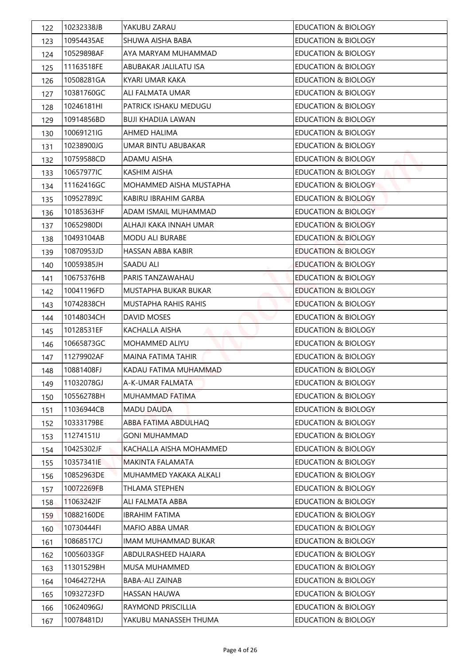| 122 | 10232338JB | YAKUBU ZARAU                | <b>EDUCATION &amp; BIOLOGY</b> |
|-----|------------|-----------------------------|--------------------------------|
| 123 | 10954435AE | SHUWA AISHA BABA            | <b>EDUCATION &amp; BIOLOGY</b> |
| 124 | 10529898AF | AYA MARYAM MUHAMMAD         | <b>EDUCATION &amp; BIOLOGY</b> |
| 125 | 11163518FE | ABUBAKAR JALILATU ISA       | <b>EDUCATION &amp; BIOLOGY</b> |
| 126 | 10508281GA | KYARI UMAR KAKA             | <b>EDUCATION &amp; BIOLOGY</b> |
| 127 | 10381760GC | ALI FALMATA UMAR            | <b>EDUCATION &amp; BIOLOGY</b> |
| 128 | 10246181HI | PATRICK ISHAKU MEDUGU       | <b>EDUCATION &amp; BIOLOGY</b> |
| 129 | 10914856BD | <b>BUJI KHADIJA LAWAN</b>   | EDUCATION & BIOLOGY            |
| 130 | 10069121IG | <b>AHMED HALIMA</b>         | <b>EDUCATION &amp; BIOLOGY</b> |
| 131 | 10238900JG | UMAR BINTU ABUBAKAR         | <b>EDUCATION &amp; BIOLOGY</b> |
| 132 | 10759588CD | ADAMU AISHA                 | <b>EDUCATION &amp; BIOLOGY</b> |
| 133 | 10657977IC | KASHIM AISHA                | <b>EDUCATION &amp; BIOLOGY</b> |
| 134 | 11162416GC | MOHAMMED AISHA MUSTAPHA     | <b>EDUCATION &amp; BIOLOGY</b> |
| 135 | 10952789JC | KABIRU IBRAHIM GARBA        | <b>EDUCATION &amp; BIOLOGY</b> |
| 136 | 10185363HF | ADAM ISMAIL MUHAMMAD        | EDUCATION & BIOLOGY            |
| 137 | 10652980DI | ALHAJI KAKA INNAH UMAR      | <b>EDUCATION &amp; BIOLOGY</b> |
| 138 | 10493104AB | <b>MODU ALI BURABE</b>      | <b>EDUCATION &amp; BIOLOGY</b> |
| 139 | 10870953JD | HASSAN ABBA KABIR           | <b>EDUCATION &amp; BIOLOGY</b> |
| 140 | 10059385JH | SAADU ALI                   | <b>EDUCATION &amp; BIOLOGY</b> |
| 141 | 10675376HB | PARIS TANZAWAHAU            | <b>EDUCATION &amp; BIOLOGY</b> |
| 142 | 10041196FD | MUSTAPHA BUKAR BUKAR        | <b>EDUCATION &amp; BIOLOGY</b> |
| 143 | 10742838CH | <b>MUSTAPHA RAHIS RAHIS</b> | <b>EDUCATION &amp; BIOLOGY</b> |
| 144 | 10148034CH | DAVID MOSES                 | <b>EDUCATION &amp; BIOLOGY</b> |
| 145 | 10128531EF | KACHALLA AISHA              | <b>EDUCATION &amp; BIOLOGY</b> |
| 146 | 10665873GC | <b>MOHAMMED ALIYU</b>       | <b>EDUCATION &amp; BIOLOGY</b> |
| 147 | 11279902AF | MAINA FATIMA TAHIR          | <b>EDUCATION &amp; BIOLOGY</b> |
| 148 | 10881408FJ | KADAU FATIMA MUHAMMAD       | <b>EDUCATION &amp; BIOLOGY</b> |
| 149 | 11032078GJ | A-K-UMAR FALMATA            | <b>EDUCATION &amp; BIOLOGY</b> |
| 150 | 10556278BH | MUHAMMAD FATIMA             | EDUCATION & BIOLOGY            |
| 151 | 11036944CB | <b>MADU DAUDA</b>           | <b>EDUCATION &amp; BIOLOGY</b> |
| 152 | 10333179BE | ABBA FATIMA ABDULHAQ        | <b>EDUCATION &amp; BIOLOGY</b> |
| 153 | 11274151IJ | <b>GONI MUHAMMAD</b>        | <b>EDUCATION &amp; BIOLOGY</b> |
| 154 | 10425302JF | KACHALLA AISHA MOHAMMED     | <b>EDUCATION &amp; BIOLOGY</b> |
| 155 | 10357341IE | MAKINTA FALAMATA            | EDUCATION & BIOLOGY            |
| 156 | 10852963DE | MUHAMMED YAKAKA ALKALI      | EDUCATION & BIOLOGY            |
| 157 | 10072269FB | THLAMA STEPHEN              | <b>EDUCATION &amp; BIOLOGY</b> |
| 158 | 11063242IF | ALI FALMATA ABBA            | <b>EDUCATION &amp; BIOLOGY</b> |
| 159 | 10882160DE | <b>IBRAHIM FATIMA</b>       | EDUCATION & BIOLOGY            |
| 160 | 10730444FI | MAFIO ABBA UMAR             | <b>EDUCATION &amp; BIOLOGY</b> |
| 161 | 10868517CJ | IMAM MUHAMMAD BUKAR         | <b>EDUCATION &amp; BIOLOGY</b> |
| 162 | 10056033GF | ABDULRASHEED HAJARA         | <b>EDUCATION &amp; BIOLOGY</b> |
| 163 | 11301529BH | MUSA MUHAMMED               | <b>EDUCATION &amp; BIOLOGY</b> |
| 164 | 10464272HA | <b>BABA-ALI ZAINAB</b>      | EDUCATION & BIOLOGY            |
| 165 | 10932723FD | HASSAN HAUWA                | EDUCATION & BIOLOGY            |
| 166 | 10624096GJ | RAYMOND PRISCILLIA          | <b>EDUCATION &amp; BIOLOGY</b> |
| 167 | 10078481DJ | YAKUBU MANASSEH THUMA       | <b>EDUCATION &amp; BIOLOGY</b> |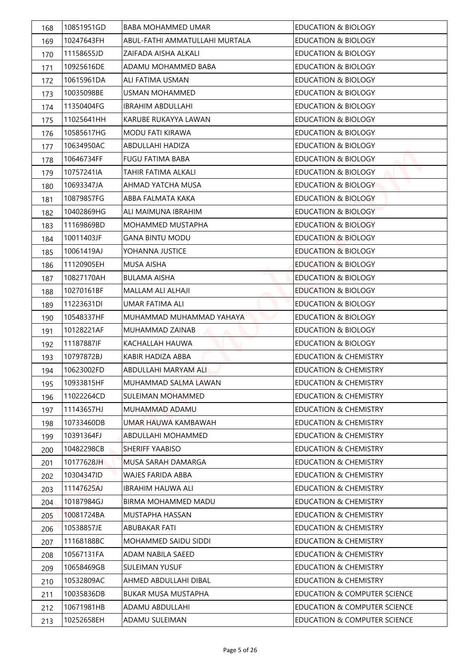| 168 | 10851951GD | <b>BABA MOHAMMED UMAR</b>      | <b>EDUCATION &amp; BIOLOGY</b>   |
|-----|------------|--------------------------------|----------------------------------|
| 169 | 10247643FH | ABUL-FATHI AMMATULLAHI MURTALA | <b>EDUCATION &amp; BIOLOGY</b>   |
| 170 | 11158655JD | ZAIFADA AISHA ALKALI           | <b>EDUCATION &amp; BIOLOGY</b>   |
| 171 | 10925616DE | ADAMU MOHAMMED BABA            | <b>EDUCATION &amp; BIOLOGY</b>   |
| 172 | 10615961DA | ALI FATIMA USMAN               | <b>EDUCATION &amp; BIOLOGY</b>   |
| 173 | 10035098BE | <b>USMAN MOHAMMED</b>          | <b>EDUCATION &amp; BIOLOGY</b>   |
| 174 | 11350404FG | <b>IBRAHIM ABDULLAHI</b>       | <b>EDUCATION &amp; BIOLOGY</b>   |
| 175 | 11025641HH | KARUBE RUKAYYA LAWAN           | EDUCATION & BIOLOGY              |
| 176 | 10585617HG | MODU FATI KIRAWA               | <b>EDUCATION &amp; BIOLOGY</b>   |
| 177 | 10634950AC | ABDULLAHI HADIZA               | <b>EDUCATION &amp; BIOLOGY</b>   |
| 178 | 10646734FF | FUGU FATIMA BABA               | <b>EDUCATION &amp; BIOLOGY</b>   |
| 179 | 10757241IA | TAHIR FATIMA ALKALI            | <b>EDUCATION &amp; BIOLOGY</b>   |
| 180 | 10693347JA | AHMAD YATCHA MUSA              | <b>EDUCATION &amp; BIOLOGY</b>   |
| 181 | 10879857FG | ABBA FAI MATA KAKA             | <b>EDUCATION &amp; BIOLOGY</b>   |
| 182 | 10402869HG | ALI MAIMUNA IBRAHIM            | <b>EDUCATION &amp; BIOLOGY</b>   |
| 183 | 11169869BD | <b>MOHAMMED MUSTAPHA</b>       | <b>EDUCATION &amp; BIOLOGY</b>   |
| 184 | 10011403JF | <b>GANA BINTU MODU</b>         | <b>EDUCATION &amp; BIOLOGY</b>   |
| 185 | 10061419AJ | YOHANNA JUSTICE                | <b>EDUCATION &amp; BIOLOGY</b>   |
| 186 | 11120905EH | <b>MUSA AISHA</b>              | <b>EDUCATION &amp; BIOLOGY</b>   |
| 187 | 10827170AH | BULAMA AISHA                   | <b>EDUCATION &amp; BIOLOGY</b>   |
| 188 | 10270161BF | <b>MALLAM ALI ALHAJI</b>       | <b>EDUCATION &amp; BIOLOGY</b>   |
| 189 | 11223631DI | UMAR FATIMA ALI                | <b>EDUCATION &amp; BIOLOGY</b>   |
| 190 | 10548337HF | MUHAMMAD MUHAMMAD YAHAYA       | <b>EDUCATION &amp; BIOLOGY</b>   |
| 191 | 10128221AF | MUHAMMAD ZAINAB                | <b>EDUCATION &amp; BIOLOGY</b>   |
| 192 | 11187887IF | KACHALLAH HAUWA                | <b>EDUCATION &amp; BIOLOGY</b>   |
| 193 | 10797872BJ | KABIR HADIZA ABBA              | <b>EDUCATION &amp; CHEMISTRY</b> |
| 194 | 10623002FD | <b>ABDULLAHI MARYAM ALI</b>    | <b>EDUCATION &amp; CHEMISTRY</b> |
| 195 | 10933815HF | MUHAMMAD SALMA LAWAN           | <b>EDUCATION &amp; CHEMISTRY</b> |
| 196 | 11022264CD | SULEIMAN MOHAMMED              | <b>EDUCATION &amp; CHEMISTRY</b> |
| 197 | 11143657HJ | MUHAMMAD ADAMU                 | <b>EDUCATION &amp; CHEMISTRY</b> |
| 198 | 10733460DB | UMAR HAUWA KAMBAWAH            | <b>EDUCATION &amp; CHEMISTRY</b> |
| 199 | 10391364FJ | <b>ABDULLAHI MOHAMMED</b>      | <b>EDUCATION &amp; CHEMISTRY</b> |
| 200 | 10482298CB | <b>SHERIFF YAABISO</b>         | <b>EDUCATION &amp; CHEMISTRY</b> |
| 201 | 10177628JH | MUSA SARAH DAMARGA             | <b>EDUCATION &amp; CHEMISTRY</b> |
| 202 | 10304347ID | WAJES FARIDA ABBA              | <b>EDUCATION &amp; CHEMISTRY</b> |
| 203 | 11147625AJ | IBRAHIM HAUWA ALI              | <b>EDUCATION &amp; CHEMISTRY</b> |
| 204 | 10187984GJ | BIRMA MOHAMMED MADU            | <b>EDUCATION &amp; CHEMISTRY</b> |
| 205 | 10081724BA | MUSTAPHA HASSAN                | <b>EDUCATION &amp; CHEMISTRY</b> |
| 206 | 10538857JE | ABUBAKAR FATI                  | <b>EDUCATION &amp; CHEMISTRY</b> |
| 207 | 11168188BC | MOHAMMED SAIDU SIDDI           | <b>EDUCATION &amp; CHEMISTRY</b> |
| 208 | 10567131FA | ADAM NABILA SAEED              | <b>EDUCATION &amp; CHEMISTRY</b> |
| 209 | 10658469GB | SULEIMAN YUSUF                 | <b>EDUCATION &amp; CHEMISTRY</b> |
| 210 | 10532809AC | AHMED ABDULLAHI DIBAL          | <b>EDUCATION &amp; CHEMISTRY</b> |
| 211 | 10035836DB | <b>BUKAR MUSA MUSTAPHA</b>     | EDUCATION & COMPUTER SCIENCE     |
| 212 | 10671981HB | ADAMU ABDULLAHI                | EDUCATION & COMPUTER SCIENCE     |
| 213 | 10252658EH | ADAMU SULEIMAN                 | EDUCATION & COMPUTER SCIENCE     |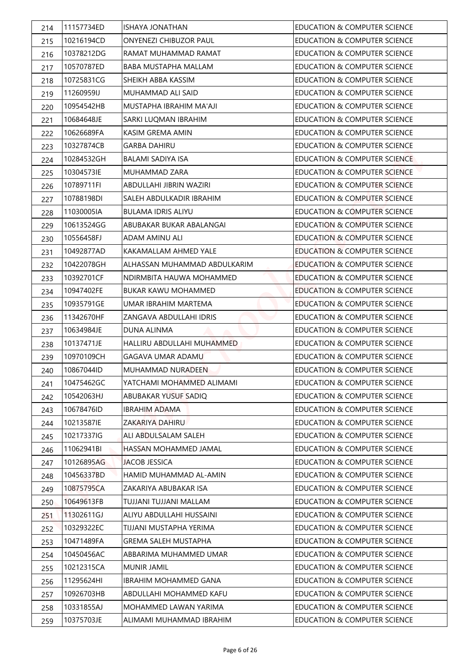| 214 | 11157734ED | ISHAYA JONATHAN               | <b>EDUCATION &amp; COMPUTER SCIENCE</b> |
|-----|------------|-------------------------------|-----------------------------------------|
| 215 | 10216194CD | <b>ONYENEZI CHIBUZOR PAUL</b> | EDUCATION & COMPUTER SCIENCE            |
| 216 | 10378212DG | RAMAT MUHAMMAD RAMAT          | EDUCATION & COMPUTER SCIENCE            |
| 217 | 10570787ED | BABA MUSTAPHA MALLAM          | <b>EDUCATION &amp; COMPUTER SCIENCE</b> |
| 218 | 10725831CG | SHEIKH ABBA KASSIM            | <b>EDUCATION &amp; COMPUTER SCIENCE</b> |
| 219 | 11260959IJ | MUHAMMAD ALI SAID             | EDUCATION & COMPUTER SCIENCE            |
| 220 | 10954542HB | MUSTAPHA IBRAHIM MA'AJI       | <b>EDUCATION &amp; COMPUTER SCIENCE</b> |
| 221 | 10684648JE | SARKI LUQMAN IBRAHIM          | EDUCATION & COMPUTER SCIENCE            |
| 222 | 10626689FA | KASIM GREMA AMIN              | <b>EDUCATION &amp; COMPUTER SCIENCE</b> |
| 223 | 10327874CB | GARBA DAHIRU                  | EDUCATION & COMPUTER SCIENCE            |
| 224 | 10284532GH | <b>BALAMI SADIYA ISA</b>      | EDUCATION & COMPUTER SCIENCE            |
| 225 | 103045731E | MUHAMMAD ZARA                 | EDUCATION & COMPUTER SCIENCE            |
| 226 | 10789711FI | ABDULLAHI JIBRIN WAZIRI       | <b>EDUCATION &amp; COMPUTER SCIENCE</b> |
| 227 | 10788198DI | SALEH ABDULKADIR IBRAHIM      | <b>EDUCATION &amp; COMPUTER SCIENCE</b> |
| 228 | 11030005IA | <b>BULAMA IDRIS ALIYU</b>     | EDUCATION & COMPUTER SCIENCE            |
| 229 | 10613524GG | ABUBAKAR BUKAR ABALANGAI      | EDUCATION & COMPUTER SCIENCE            |
| 230 | 10556458FJ | ADAM AMINU ALI                | <b>EDUCATION &amp; COMPUTER SCIENCE</b> |
| 231 | 10492877AD | KAKAMALLAM AHMED YALE         | <b>EDUCATION &amp; COMPUTER SCIENCE</b> |
| 232 | 10422078GH | ALHASSAN MUHAMMAD ABDULKARIM  | <b>EDUCATION &amp; COMPUTER SCIENCE</b> |
| 233 | 10392701CF | NDIRMBITA HAUWA MOHAMMED      | EDUCATION & COMPUTER SCIENCE            |
| 234 | 10947402FE | <b>BUKAR KAWU MOHAMMED</b>    | <b>EDUCATION &amp; COMPUTER SCIENCE</b> |
| 235 | 10935791GE | UMAR IBRAHIM MARTEMA          | <b>EDUCATION &amp; COMPUTER SCIENCE</b> |
| 236 | 11342670HF | ZANGAVA ABDULLAHI IDRIS       | <b>EDUCATION &amp; COMPUTER SCIENCE</b> |
| 237 | 10634984JE | <b>DUNA ALINMA</b>            | EDUCATION & COMPUTER SCIENCE            |
| 238 | 10137471JE | HALLIRU ABDULLAHI MUHAMMED    | EDUCATION & COMPUTER SCIENCE            |
| 239 | 10970109CH | <b>GAGAVA UMAR ADAMU</b>      | <b>EDUCATION &amp; COMPUTER SCIENCE</b> |
| 240 | 10867044ID | MUHAMMAD NURADEEN             | <b>EDUCATION &amp; COMPUTER SCIENCE</b> |
| 241 | 10475462GC | YATCHAMI MOHAMMED ALIMAMI     | <b>EDUCATION &amp; COMPUTER SCIENCE</b> |
| 242 | 10542063HJ | ABUBAKAR YUSUF SADIQ          | EDUCATION & COMPUTER SCIENCE            |
| 243 | 10678476ID | <b>IBRAHIM ADAMA</b>          | <b>EDUCATION &amp; COMPUTER SCIENCE</b> |
| 244 | 10213587IE | ZAKARIYA DAHIRU               | <b>EDUCATION &amp; COMPUTER SCIENCE</b> |
| 245 | 10217337IG | ALI ABDULSALAM SALEH          | EDUCATION & COMPUTER SCIENCE            |
| 246 | 11062941BI | HASSAN MOHAMMED JAMAL         | EDUCATION & COMPUTER SCIENCE            |
| 247 | 10126895AG | <b>JACOB JESSICA</b>          | EDUCATION & COMPUTER SCIENCE            |
| 248 | 10456337BD | HAMID MUHAMMAD AL-AMIN        | EDUCATION & COMPUTER SCIENCE            |
| 249 | 10875795CA | ZAKARIYA ABUBAKAR ISA         | EDUCATION & COMPUTER SCIENCE            |
| 250 | 10649613FB | TUJJANI TUJJANI MALLAM        | EDUCATION & COMPUTER SCIENCE            |
| 251 | 11302611GJ | ALIYU ABDULLAHI HUSSAINI      | EDUCATION & COMPUTER SCIENCE            |
| 252 | 10329322EC | TIJJANI MUSTAPHA YERIMA       | EDUCATION & COMPUTER SCIENCE            |
| 253 | 10471489FA | <b>GREMA SALEH MUSTAPHA</b>   | EDUCATION & COMPUTER SCIENCE            |
| 254 | 10450456AC | ABBARIMA MUHAMMED UMAR        | <b>EDUCATION &amp; COMPUTER SCIENCE</b> |
| 255 | 10212315CA | MUNIR JAMIL                   | EDUCATION & COMPUTER SCIENCE            |
| 256 | 11295624HI | <b>IBRAHIM MOHAMMED GANA</b>  | EDUCATION & COMPUTER SCIENCE            |
| 257 | 10926703HB | ABDULLAHI MOHAMMED KAFU       | EDUCATION & COMPUTER SCIENCE            |
| 258 | 10331855AJ | MOHAMMED LAWAN YARIMA         | EDUCATION & COMPUTER SCIENCE            |
| 259 | 10375703JE | ALIMAMI MUHAMMAD IBRAHIM      | EDUCATION & COMPUTER SCIENCE            |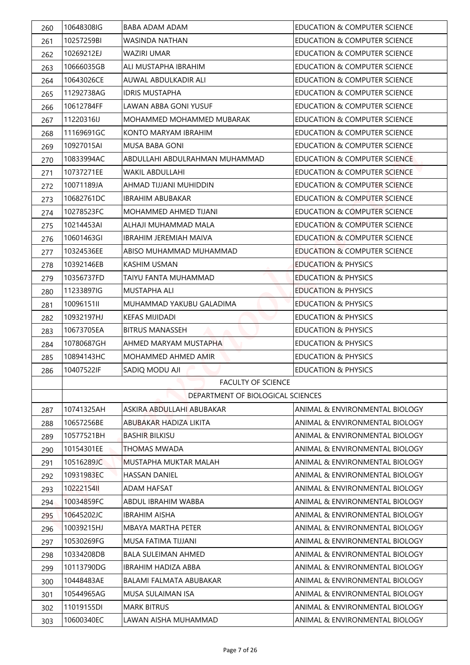| 260 | 10648308IG | BABA ADAM ADAM                    | <b>EDUCATION &amp; COMPUTER SCIENCE</b> |
|-----|------------|-----------------------------------|-----------------------------------------|
| 261 | 10257259BI | WASINDA NATHAN                    | EDUCATION & COMPUTER SCIENCE            |
| 262 | 10269212EJ | WAZIRI UMAR                       | EDUCATION & COMPUTER SCIENCE            |
| 263 | 10666035GB | ALI MUSTAPHA IBRAHIM              | <b>EDUCATION &amp; COMPUTER SCIENCE</b> |
| 264 | 10643026CE | AUWAL ABDULKADIR ALI              | <b>EDUCATION &amp; COMPUTER SCIENCE</b> |
| 265 | 11292738AG | <b>IDRIS MUSTAPHA</b>             | EDUCATION & COMPUTER SCIENCE            |
| 266 | 10612784FF | LAWAN ABBA GONI YUSUF             | EDUCATION & COMPUTER SCIENCE            |
| 267 | 11220316IJ | MOHAMMED MOHAMMED MUBARAK         | EDUCATION & COMPUTER SCIENCE            |
| 268 | 11169691GC | KONTO MARYAM IBRAHIM              | <b>EDUCATION &amp; COMPUTER SCIENCE</b> |
| 269 | 10927015AI | MUSA BABA GONI                    | <b>EDUCATION &amp; COMPUTER SCIENCE</b> |
| 270 | 10833994AC | ABDULLAHI ABDULRAHMAN MUHAMMAD    | EDUCATION & COMPUTER SCIENCE            |
| 271 | 10737271EE | <b>WAKIL ABDULLAHI</b>            | EDUCATION & COMPUTER SCIENCE            |
| 272 | 10071189JA | AHMAD TIJJANI MUHIDDIN            | <b>EDUCATION &amp; COMPUTER SCIENCE</b> |
| 273 | 10682761DC | IBRAHIM ABUBAKAR                  | <b>EDUCATION &amp; COMPUTER SCIENCE</b> |
| 274 | 10278523FC | MOHAMMED AHMED TIJANI             | EDUCATION & COMPUTER SCIENCE            |
| 275 | 10214453AI | ALHAJI MUHAMMAD MALA              | EDUCATION & COMPUTER SCIENCE            |
| 276 | 10601463GI | <b>IBRAHIM JEREMIAH MAIVA</b>     | EDUCATION & COMPUTER SCIENCE            |
| 277 | 10324536EE | ABISO MUHAMMAD MUHAMMAD           | <b>EDUCATION &amp; COMPUTER SCIENCE</b> |
| 278 | 10392146EB | KASHIM USMAN                      | <b>EDUCATION &amp; PHYSICS</b>          |
| 279 | 10356737FD | TAIYU FANTA MUHAMMAD              | <b>EDUCATION &amp; PHYSICS</b>          |
| 280 | 11233897IG | <b>MUSTAPHA ALI</b>               | <b>EDUCATION &amp; PHYSICS</b>          |
| 281 | 10096151II | MUHAMMAD YAKUBU GALADIMA          | <b>EDUCATION &amp; PHYSICS</b>          |
| 282 | 10932197HJ | <b>KEFAS MIJIDADI</b>             | <b>EDUCATION &amp; PHYSICS</b>          |
| 283 | 10673705EA | <b>BITRUS MANASSEH</b>            | <b>EDUCATION &amp; PHYSICS</b>          |
| 284 | 10780687GH | AHMED MARYAM MUSTAPHA             | <b>EDUCATION &amp; PHYSICS</b>          |
| 285 | 10894143HC | MOHAMMED AHMED AMIR               | <b>EDUCATION &amp; PHYSICS</b>          |
| 286 | 10407522IF | <b>SADIQ MODU AJI</b>             | <b>EDUCATION &amp; PHYSICS</b>          |
|     |            | <b>FACULTY OF SCIENCE</b>         |                                         |
|     |            | DEPARTMENT OF BIOLOGICAL SCIENCES |                                         |
| 287 | 10741325AH | ASKIRA ABDULLAHI ABUBAKAR         | ANIMAL & ENVIRONMENTAL BIOLOGY          |
| 288 | 10657256BE | ABUBAKAR HADIZA LIKITA            | ANIMAL & ENVIRONMENTAL BIOLOGY          |
| 289 | 10577521BH | <b>BASHIR BILKISU</b>             | ANIMAL & ENVIRONMENTAL BIOLOGY          |
| 290 | 10154301EE | <b>THOMAS MWADA</b>               | ANIMAL & ENVIRONMENTAL BIOLOGY          |
| 291 | 10516289JC | MUSTAPHA MUKTAR MALAH             | ANIMAL & ENVIRONMENTAL BIOLOGY          |
| 292 | 10931983EC | <b>HASSAN DANIEL</b>              | ANIMAL & ENVIRONMENTAL BIOLOGY          |
| 293 | 1022215411 | <b>ADAM HAFSAT</b>                | ANIMAL & ENVIRONMENTAL BIOLOGY          |
| 294 | 10034859FC | ABDUL IBRAHIM WABBA               | ANIMAL & ENVIRONMENTAL BIOLOGY          |
| 295 | 10645202JC | <b>IBRAHIM AISHA</b>              | ANIMAL & ENVIRONMENTAL BIOLOGY          |
| 296 | 10039215HJ | MBAYA MARTHA PETER                | ANIMAL & ENVIRONMENTAL BIOLOGY          |
| 297 | 10530269FG | MUSA FATIMA TIJJANI               | ANIMAL & ENVIRONMENTAL BIOLOGY          |
| 298 | 10334208DB | <b>BALA SULEIMAN AHMED</b>        | ANIMAL & ENVIRONMENTAL BIOLOGY          |
| 299 | 10113790DG | <b>IBRAHIM HADIZA ABBA</b>        | ANIMAL & ENVIRONMENTAL BIOLOGY          |
| 300 | 10448483AE | BALAMI FALMATA ABUBAKAR           | ANIMAL & ENVIRONMENTAL BIOLOGY          |
| 301 | 10544965AG | MUSA SULAIMAN ISA                 | ANIMAL & ENVIRONMENTAL BIOLOGY          |
| 302 | 11019155DI | <b>MARK BITRUS</b>                | ANIMAL & ENVIRONMENTAL BIOLOGY          |
|     |            |                                   |                                         |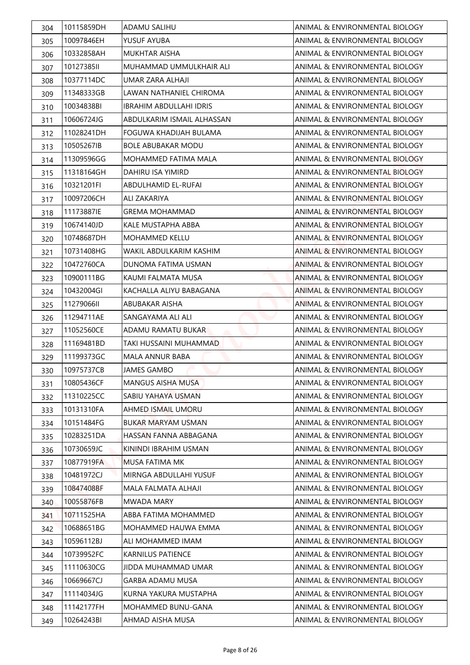| 304 | 10115859DH | ADAMU SALIHU                   | ANIMAL & ENVIRONMENTAL BIOLOGY |
|-----|------------|--------------------------------|--------------------------------|
| 305 | 10097846EH | YUSUF AYUBA                    | ANIMAL & ENVIRONMENTAL BIOLOGY |
| 306 | 10332858AH | <b>MUKHTAR AISHA</b>           | ANIMAL & ENVIRONMENTAL BIOLOGY |
| 307 | 10127385II | MUHAMMAD UMMULKHAIR ALI        | ANIMAL & ENVIRONMENTAL BIOLOGY |
| 308 | 10377114DC | UMAR 7ARA ALHAJI               | ANIMAL & ENVIRONMENTAL BIOLOGY |
| 309 | 11348333GB | LAWAN NATHANIEL CHIROMA        | ANIMAL & ENVIRONMENTAL BIOLOGY |
| 310 | 10034838BI | <b>IBRAHIM ABDULLAHI IDRIS</b> | ANIMAL & ENVIRONMENTAL BIOLOGY |
| 311 | 10606724JG | ABDULKARIM ISMAIL ALHASSAN     | ANIMAL & ENVIRONMENTAL BIOLOGY |
| 312 | 11028241DH | FOGUWA KHADIJAH BULAMA         | ANIMAL & ENVIRONMENTAL BIOLOGY |
| 313 | 10505267IB | <b>BOLE ABUBAKAR MODU</b>      | ANIMAL & ENVIRONMENTAL BIOLOGY |
| 314 | 11309596GG | MOHAMMED FATIMA MAI A          | ANIMAL & ENVIRONMENTAL BIOLOGY |
| 315 | 11318164GH | DAHIRU ISA YIMIRD              | ANIMAL & ENVIRONMENTAL BIOLOGY |
| 316 | 10321201FI | <b>ABDULHAMID EL-RUFAI</b>     | ANIMAL & ENVIRONMENTAL BIOLOGY |
| 317 | 10097206CH | ALI ZAKARIYA                   | ANIMAL & ENVIRONMENTAL BIOLOGY |
| 318 | 11173887IE | <b>GREMA MOHAMMAD</b>          | ANIMAL & ENVIRONMENTAL BIOLOGY |
| 319 | 10674140JD | KALE MUSTAPHA ABBA             | ANIMAL & ENVIRONMENTAL BIOLOGY |
| 320 | 10748687DH | <b>MOHAMMED KELLU</b>          | ANIMAL & ENVIRONMENTAL BIOLOGY |
| 321 | 10731408HG | WAKIL ABDULKARIM KASHIM        | ANIMAL & ENVIRONMENTAL BIOLOGY |
| 322 | 10472760CA | DUNOMA FATIMA USMAN            | ANIMAL & ENVIRONMENTAL BIOLOGY |
| 323 | 10900111BG | KAUMI FALMATA MUSA             | ANIMAL & ENVIRONMENTAL BIOLOGY |
| 324 | 10432004GI | KACHALLA ALIYU BABAGANA        | ANIMAL & ENVIRONMENTAL BIOLOGY |
| 325 | 1127906611 | ABUBAKAR AISHA                 | ANIMAL & ENVIRONMENTAL BIOLOGY |
| 326 | 11294711AE | SANGAYAMA ALI ALI              | ANIMAL & ENVIRONMENTAL BIOLOGY |
| 327 | 11052560CE | ADAMU RAMATU BUKAR             | ANIMAL & ENVIRONMENTAL BIOLOGY |
| 328 | 11169481BD | TAKI HUSSAINI MUHAMMAD         | ANIMAL & ENVIRONMENTAL BIOLOGY |
| 329 | 11199373GC | MALA ANNUR BABA                | ANIMAL & ENVIRONMENTAL BIOLOGY |
| 330 | 10975737CB | <b>JAMES GAMBO</b>             | ANIMAL & ENVIRONMENTAL BIOLOGY |
| 331 | 10805436CF | <b>MANGUS AISHA MUSA</b>       | ANIMAL & ENVIRONMENTAL BIOLOGY |
| 332 | 11310225CC | SABIU YAHAYA USMAN             | ANIMAL & ENVIRONMENTAL BIOLOGY |
| 333 | 10131310FA | AHMED ISMAIL UMORU             | ANIMAL & ENVIRONMENTAL BIOLOGY |
| 334 | 10151484FG | BUKAR MARYAM USMAN             | ANIMAL & ENVIRONMENTAL BIOLOGY |
| 335 | 10283251DA | HASSAN FANNA ABBAGANA          | ANIMAL & ENVIRONMENTAL BIOLOGY |
| 336 | 10730659JC | KININDI IBRAHIM USMAN          | ANIMAL & ENVIRONMENTAL BIOLOGY |
| 337 | 10877919FA | MUSA FATIMA MK                 | ANIMAL & ENVIRONMENTAL BIOLOGY |
| 338 | 10481972CJ | MIRNGA ABDULLAHI YUSUF         | ANIMAL & ENVIRONMENTAL BIOLOGY |
| 339 | 10847408BF | MALA FALMATA ALHAJI            | ANIMAL & ENVIRONMENTAL BIOLOGY |
| 340 | 10055876FB | MWADA MARY                     | ANIMAL & ENVIRONMENTAL BIOLOGY |
| 341 | 10711525HA | ABBA FATIMA MOHAMMED           | ANIMAL & ENVIRONMENTAL BIOLOGY |
| 342 | 10688651BG | MOHAMMED HAUWA EMMA            | ANIMAL & ENVIRONMENTAL BIOLOGY |
| 343 | 10596112BJ | ALI MOHAMMED IMAM              | ANIMAL & ENVIRONMENTAL BIOLOGY |
| 344 | 10739952FC | <b>KARNILUS PATIENCE</b>       | ANIMAL & ENVIRONMENTAL BIOLOGY |
| 345 | 11110630CG | JIDDA MUHAMMAD UMAR            | ANIMAL & ENVIRONMENTAL BIOLOGY |
| 346 | 10669667CJ | <b>GARBA ADAMU MUSA</b>        | ANIMAL & ENVIRONMENTAL BIOLOGY |
| 347 | 11114034JG | KURNA YAKURA MUSTAPHA          | ANIMAL & ENVIRONMENTAL BIOLOGY |
| 348 | 11142177FH | MOHAMMED BUNU-GANA             | ANIMAL & ENVIRONMENTAL BIOLOGY |
| 349 | 10264243BI | AHMAD AISHA MUSA               | ANIMAL & ENVIRONMENTAL BIOLOGY |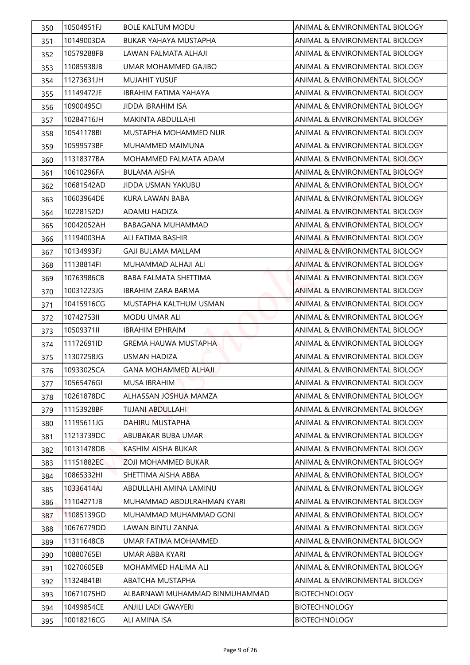| 350 | 10504951FJ | <b>BOLE KALTUM MODU</b>        | ANIMAL & ENVIRONMENTAL BIOLOGY |
|-----|------------|--------------------------------|--------------------------------|
| 351 | 10149003DA | BUKAR YAHAYA MUSTAPHA          | ANIMAL & ENVIRONMENTAL BIOLOGY |
| 352 | 10579288FB | LAWAN FALMATA ALHAJI           | ANIMAL & ENVIRONMENTAL BIOLOGY |
| 353 | 11085938JB | UMAR MOHAMMED GAJIBO           | ANIMAL & ENVIRONMENTAL BIOLOGY |
| 354 | 11273631JH | <b>MUJAHIT YUSUF</b>           | ANIMAL & ENVIRONMENTAL BIOLOGY |
| 355 | 11149472JE | IBRAHIM FATIMA YAHAYA          | ANIMAL & ENVIRONMENTAL BIOLOGY |
| 356 | 10900495CI | <b>JIDDA IBRAHIM ISA</b>       | ANIMAL & ENVIRONMENTAL BIOLOGY |
| 357 | 10284716JH | <b>MAKINTA ABDULLAHI</b>       | ANIMAL & ENVIRONMENTAL BIOLOGY |
| 358 | 10541178BI | MUSTAPHA MOHAMMED NUR          | ANIMAL & ENVIRONMENTAL BIOLOGY |
| 359 | 10599573BF | MUHAMMED MAIMUNA               | ANIMAL & ENVIRONMENTAL BIOLOGY |
| 360 | 11318377BA | MOHAMMED FALMATA ADAM          | ANIMAL & ENVIRONMENTAL BIOLOGY |
| 361 | 10610296FA | <b>BULAMA AISHA</b>            | ANIMAL & ENVIRONMENTAL BIOLOGY |
| 362 | 10681542AD | JIDDA USMAN YAKUBU             | ANIMAL & ENVIRONMENTAL BIOLOGY |
| 363 | 10603964DE | KURA LAWAN BABA                | ANIMAL & FNVIRONMENTAL BIOLOGY |
| 364 | 10228152DJ | ADAMU HADIZA                   | ANIMAL & ENVIRONMENTAL BIOLOGY |
| 365 | 10042052AH | BABAGANA MUHAMMAD              | ANIMAL & ENVIRONMENTAL BIOLOGY |
| 366 | 11194003HA | ALI FATIMA BASHIR              | ANIMAL & ENVIRONMENTAL BIOLOGY |
| 367 | 10134993FJ | <b>GAJI BULAMA MALLAM</b>      | ANIMAL & ENVIRONMENTAL BIOLOGY |
| 368 | 11138814FI | MUHAMMAD ALHAJI ALI            | ANIMAL & ENVIRONMENTAL BIOLOGY |
| 369 | 10763986CB | BABA FALMATA SHETTIMA          | ANIMAL & ENVIRONMENTAL BIOLOGY |
| 370 | 10031223JG | <b>IBRAHIM ZARA BARMA</b>      | ANIMAL & ENVIRONMENTAL BIOLOGY |
| 371 | 10415916CG | MUSTAPHA KALTHUM USMAN         | ANIMAL & ENVIRONMENTAL BIOLOGY |
| 372 | 1074275311 | <b>MODU UMAR ALI</b>           | ANIMAL & ENVIRONMENTAL BIOLOGY |
| 373 | 10509371II | <b>IBRAHIM EPHRAIM</b>         | ANIMAL & ENVIRONMENTAL BIOLOGY |
| 374 | 11172691ID | <b>GREMA HAUWA MUSTAPHA</b>    | ANIMAL & ENVIRONMENTAL BIOLOGY |
| 375 | 11307258JG | <b>USMAN HADIZA</b>            | ANIMAL & ENVIRONMENTAL BIOLOGY |
| 376 | 10933025CA | <b>GANA MOHAMMED ALHAJI</b>    | ANIMAL & ENVIRONMENTAL BIOLOGY |
| 377 | 10565476GI | <b>MUSA IBRAHIM</b>            | ANIMAL & ENVIRONMENTAL BIOLOGY |
| 378 | 10261878DC | ALHASSAN JOSHUA MAMZA          | ANIMAL & ENVIRONMENTAL BIOLOGY |
| 379 | 11153928BF | TIJJANI ABDULLAHI              | ANIMAL & ENVIRONMENTAL BIOLOGY |
| 380 | 11195611JG | DAHIRU MUSTAPHA                | ANIMAL & ENVIRONMENTAL BIOLOGY |
| 381 | 11213739DC | ABUBAKAR BUBA UMAR             | ANIMAL & ENVIRONMENTAL BIOLOGY |
| 382 | 10131478DB | KASHIM AISHA BUKAR             | ANIMAL & ENVIRONMENTAL BIOLOGY |
| 383 | 11151882EC | ZOJI MOHAMMED BUKAR            | ANIMAL & ENVIRONMENTAL BIOLOGY |
| 384 | 10865332HI | SHETTIMA AISHA ABBA            | ANIMAL & ENVIRONMENTAL BIOLOGY |
| 385 | 10336414AJ | ABDULLAHI AMINA LAMINU         | ANIMAL & ENVIRONMENTAL BIOLOGY |
| 386 | 11104271JB | MUHAMMAD ABDULRAHMAN KYARI     | ANIMAL & ENVIRONMENTAL BIOLOGY |
| 387 | 11085139GD | MUHAMMAD MUHAMMAD GONI         | ANIMAL & ENVIRONMENTAL BIOLOGY |
| 388 | 10676779DD | LAWAN BINTU ZANNA              | ANIMAL & ENVIRONMENTAL BIOLOGY |
| 389 | 11311648CB | UMAR FATIMA MOHAMMED           | ANIMAL & ENVIRONMENTAL BIOLOGY |
| 390 | 10880765EI | UMAR ABBA KYARI                | ANIMAL & ENVIRONMENTAL BIOLOGY |
| 391 | 10270605EB | MOHAMMED HALIMA ALI            | ANIMAL & ENVIRONMENTAL BIOLOGY |
| 392 | 11324841BI | ABATCHA MUSTAPHA               | ANIMAL & ENVIRONMENTAL BIOLOGY |
| 393 | 10671075HD | ALBARNAWI MUHAMMAD BINMUHAMMAD | <b>BIOTECHNOLOGY</b>           |
| 394 | 10499854CE | ANJILI LADI GWAYERI            | <b>BIOTECHNOLOGY</b>           |
| 395 | 10018216CG | ALI AMINA ISA                  | <b>BIOTECHNOLOGY</b>           |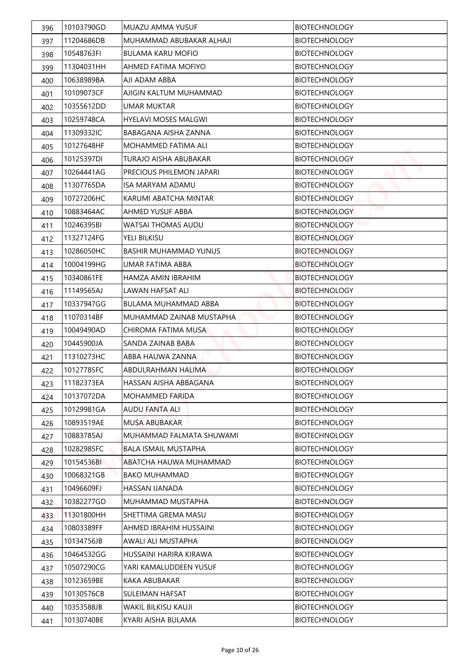| 396 | 10103790GD | MUAZU AMMA YUSUF             | <b>BIOTECHNOLOGY</b> |
|-----|------------|------------------------------|----------------------|
| 397 | 11204686DB | MUHAMMAD ABUBAKAR ALHAJI     | <b>BIOTECHNOLOGY</b> |
| 398 | 10548763FI | <b>BULAMA KARU MOFIO</b>     | <b>BIOTECHNOLOGY</b> |
| 399 | 11304031HH | AHMED FATIMA MOFIYO          | <b>BIOTECHNOLOGY</b> |
| 400 | 10638989BA | AJI ADAM ABBA                | <b>BIOTECHNOLOGY</b> |
| 401 | 10109073CF | AJIGIN KALTUM MUHAMMAD       | <b>BIOTECHNOLOGY</b> |
| 402 | 10355612DD | <b>UMAR MUKTAR</b>           | <b>BIOTECHNOLOGY</b> |
| 403 | 10259748CA | <b>HYELAVI MOSES MALGWI</b>  | <b>BIOTECHNOLOGY</b> |
| 404 | 11309332IC | BABAGANA AISHA ZANNA         | <b>BIOTECHNOLOGY</b> |
| 405 | 10127648HF | MOHAMMED FATIMA ALI          | <b>BIOTECHNOLOGY</b> |
| 406 | 10125397DI | TURAJO AISHA ABUBAKAR        | <b>BIOTECHNOLOGY</b> |
| 407 | 10264441AG | PRECIOUS PHILEMON JAPARI     | <b>BIOTECHNOLOGY</b> |
| 408 | 11307765DA | <b>ISA MARYAM ADAMU</b>      | <b>BIOTECHNOLOGY</b> |
| 409 | 10727206HC | KARUMI ABATCHA MINTAR        | <b>BIOTECHNOLOGY</b> |
| 410 | 10883464AC | AHMED YUSUF ABBA             | <b>BIOTECHNOLOGY</b> |
| 411 | 10246395BI | <b>WATSAI THOMAS AUDU</b>    | <b>BIOTECHNOLOGY</b> |
| 412 | 11327124FG | YELI BILKISU                 | <b>BIOTECHNOLOGY</b> |
| 413 | 10286050HC | <b>BASHIR MUHAMMAD YUNUS</b> | <b>BIOTECHNOLOGY</b> |
| 414 | 10004199HG | UMAR FATIMA ABBA             | <b>BIOTECHNOLOGY</b> |
| 415 | 10340861FE | HAMZA AMIN IBRAHIM           | <b>BIOTECHNOLOGY</b> |
| 416 | 11149565AJ | LAWAN HAFSAT ALI             | <b>BIOTECHNOLOGY</b> |
| 417 | 10337947GG | <b>BULAMA MUHAMMAD ABBA</b>  | <b>BIOTECHNOLOGY</b> |
| 418 | 11070314BF | MUHAMMAD ZAINAB MUSTAPHA     | <b>BIOTECHNOLOGY</b> |
| 419 | 10049490AD | CHIROMA FATIMA MUSA          | <b>BIOTECHNOLOGY</b> |
| 420 | 10445900JA | SANDA ZAINAB BABA            | <b>BIOTECHNOLOGY</b> |
| 421 | 11310273HC | ABBA HAUWA ZANNA             | <b>BIOTECHNOLOGY</b> |
| 422 | 10127785FC | ABDULRAHMAN HALIMA           | <b>BIOTECHNOLOGY</b> |
| 423 | 11182373EA | HASSAN AISHA ABBAGANA        | <b>BIOTECHNOLOGY</b> |
| 424 | 10137072DA | MOHAMMED FARIDA              | <b>BIOTECHNOLOGY</b> |
| 425 | 10129981GA | <b>AUDU FANTA ALI</b>        | <b>BIOTECHNOLOGY</b> |
| 426 | 10893519AE | <b>MUSA ABUBAKAR</b>         | <b>BIOTECHNOLOGY</b> |
| 427 | 10883785AJ | MUHAMMAD FALMATA SHUWAMI     | <b>BIOTECHNOLOGY</b> |
| 428 | 10282985FC | <b>BALA ISMAIL MUSTAPHA</b>  | <b>BIOTECHNOLOGY</b> |
| 429 | 10154536BI | ABATCHA HAUWA MUHAMMAD       | <b>BIOTECHNOLOGY</b> |
| 430 | 10068321GB | <b>BAKO MUHAMMAD</b>         | <b>BIOTECHNOLOGY</b> |
| 431 | 10496609FJ | HASSAN IJANADA               | <b>BIOTECHNOLOGY</b> |
| 432 | 10382277GD | MUHAMMAD MUSTAPHA            | <b>BIOTECHNOLOGY</b> |
| 433 | 11301800HH | SHETTIMA GREMA MASU          | <b>BIOTECHNOLOGY</b> |
| 434 | 10803389FF | AHMED IBRAHIM HUSSAINI       | <b>BIOTECHNOLOGY</b> |
| 435 | 10134756JB | AWALI ALI MUSTAPHA           | <b>BIOTECHNOLOGY</b> |
| 436 | 10464532GG | HUSSAINI HARIRA KIRAWA       | <b>BIOTECHNOLOGY</b> |
| 437 | 10507290CG | YARI KAMALUDDEEN YUSUF       | <b>BIOTECHNOLOGY</b> |
| 438 | 10123659BE | KAKA ABUBAKAR                | <b>BIOTECHNOLOGY</b> |
| 439 | 10130576CB | SULEIMAN HAFSAT              | <b>BIOTECHNOLOGY</b> |
| 440 | 10353588JB | WAKIL BILKISU KAUJI          | <b>BIOTECHNOLOGY</b> |
| 441 | 10130740BE | KYARI AISHA BULAMA           | <b>BIOTECHNOLOGY</b> |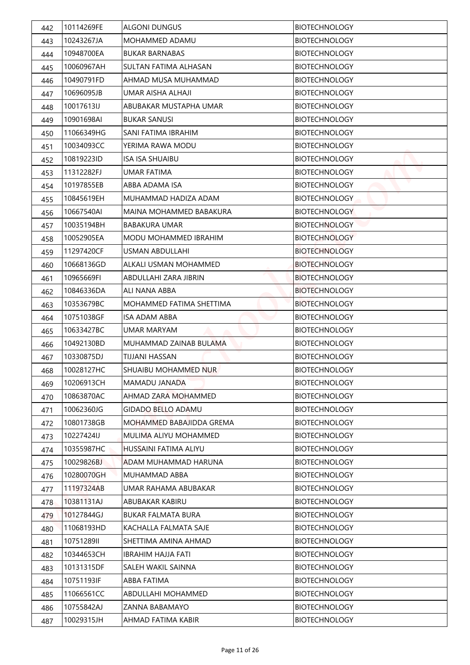| 442 | 10114269FE | <b>ALGONI DUNGUS</b>         | <b>BIOTECHNOLOGY</b> |
|-----|------------|------------------------------|----------------------|
| 443 | 10243267JA | MOHAMMED ADAMU               | <b>BIOTECHNOLOGY</b> |
| 444 | 10948700EA | <b>BUKAR BARNABAS</b>        | <b>BIOTECHNOLOGY</b> |
| 445 | 10060967AH | SULTAN FATIMA ALHASAN        | <b>BIOTECHNOLOGY</b> |
| 446 | 10490791FD | AHMAD MUSA MUHAMMAD          | <b>BIOTECHNOLOGY</b> |
| 447 | 10696095JB | UMAR AISHA ALHAJI            | <b>BIOTECHNOLOGY</b> |
| 448 | 10017613IJ | ABUBAKAR MUSTAPHA UMAR       | <b>BIOTECHNOLOGY</b> |
| 449 | 10901698AI | <b>BUKAR SANUSI</b>          | <b>BIOTECHNOLOGY</b> |
| 450 | 11066349HG | SANI FATIMA IBRAHIM          | <b>BIOTECHNOLOGY</b> |
| 451 | 10034093CC | YERIMA RAWA MODU             | <b>BIOTECHNOLOGY</b> |
| 452 | 10819223ID | ISA ISA SHUAIBU              | <b>BIOTECHNOLOGY</b> |
| 453 | 11312282FJ | <b>UMAR FATIMA</b>           | <b>BIOTECHNOLOGY</b> |
| 454 | 10197855EB | ABBA ADAMA ISA               | <b>BIOTECHNOLOGY</b> |
| 455 | 10845619EH | MUHAMMAD HADIZA ADAM         | <b>BIOTECHNOLOGY</b> |
| 456 | 10667540AI | MAINA MOHAMMED BABAKURA      | <b>BIOTECHNOLOGY</b> |
| 457 | 10035194BH | <b>BABAKURA UMAR</b>         | <b>BIOTECHNOLOGY</b> |
| 458 | 10052905EA | <b>MODU MOHAMMED IBRAHIM</b> | <b>BIOTECHNOLOGY</b> |
| 459 | 11297420CF | <b>USMAN ABDULLAHI</b>       | <b>BIOTECHNOLOGY</b> |
| 460 | 10668136GD | ALKALI USMAN MOHAMMED        | <b>BIOTECHNOLOGY</b> |
| 461 | 10965669FI | ABDULLAHI ZARA JIBRIN        | <b>BIOTECHNOLOGY</b> |
| 462 | 10846336DA | ALI NANA ABBA                | <b>BIOTECHNOLOGY</b> |
| 463 | 10353679BC | MOHAMMED FATIMA SHETTIMA     | <b>BIOTECHNOLOGY</b> |
| 464 | 10751038GF | <b>ISA ADAM ABBA</b>         | <b>BIOTECHNOLOGY</b> |
| 465 | 10633427BC | <b>UMAR MARYAM</b>           | <b>BIOTECHNOLOGY</b> |
| 466 | 10492130BD | MUHAMMAD ZAINAB BULAMA       | <b>BIOTECHNOLOGY</b> |
| 467 | 10330875DJ | TIJJANI HASSAN               | <b>BIOTECHNOLOGY</b> |
| 468 | 10028127HC | SHUAIBU MOHAMMED NUR         | <b>BIOTECHNOLOGY</b> |
| 469 | 10206913CH | MAMADU JANADA                | <b>BIOTECHNOLOGY</b> |
| 470 | 10863870AC | AHMAD ZARA MOHAMMED          | <b>BIOTECHNOLOGY</b> |
| 471 | 10062360JG | <b>GIDADO BELLO ADAMU</b>    | <b>BIOTECHNOLOGY</b> |
| 472 | 10801738GB | MOHAMMED BABAJIDDA GREMA     | <b>BIOTECHNOLOGY</b> |
| 473 | 10227424IJ | MULIMA ALIYU MOHAMMED        | <b>BIOTECHNOLOGY</b> |
| 474 | 10355987HC | HUSSAINI FATIMA ALIYU        | <b>BIOTECHNOLOGY</b> |
| 475 | 10029826BJ | ADAM MUHAMMAD HARUNA         | <b>BIOTECHNOLOGY</b> |
| 476 | 10280070GH | MUHAMMAD ABBA                | <b>BIOTECHNOLOGY</b> |
| 477 | 11197324AB | UMAR RAHAMA ABUBAKAR         | <b>BIOTECHNOLOGY</b> |
| 478 | 10381131AJ | ABUBAKAR KABIRU              | <b>BIOTECHNOLOGY</b> |
| 479 | 10127844GJ | <b>BUKAR FALMATA BURA</b>    | <b>BIOTECHNOLOGY</b> |
| 480 | 11068193HD | KACHALLA FALMATA SAJE        | <b>BIOTECHNOLOGY</b> |
| 481 | 10751289II | SHETTIMA AMINA AHMAD         | <b>BIOTECHNOLOGY</b> |
| 482 | 10344653CH | <b>IBRAHIM HAJJA FATI</b>    | <b>BIOTECHNOLOGY</b> |
| 483 | 10131315DF | SALEH WAKIL SAINNA           | <b>BIOTECHNOLOGY</b> |
| 484 | 10751193IF | ABBA FATIMA                  | <b>BIOTECHNOLOGY</b> |
| 485 | 11066561CC | ABDULLAHI MOHAMMED           | <b>BIOTECHNOLOGY</b> |
| 486 | 10755842AJ | ZANNA BABAMAYO               | <b>BIOTECHNOLOGY</b> |
| 487 | 10029315JH | AHMAD FATIMA KABIR           | <b>BIOTECHNOLOGY</b> |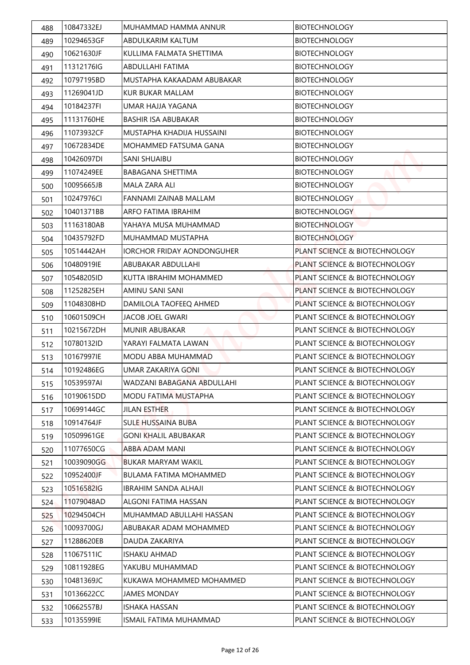| 488 | 10847332EJ | MUHAMMAD HAMMA ANNUR              | <b>BIOTECHNOLOGY</b>                     |
|-----|------------|-----------------------------------|------------------------------------------|
| 489 | 10294653GF | ABDULKARIM KALTUM                 | <b>BIOTECHNOLOGY</b>                     |
| 490 | 10621630JF | KULLIMA FALMATA SHETTIMA          | <b>BIOTECHNOLOGY</b>                     |
| 491 | 11312176IG | ABDULLAHI FATIMA                  | <b>BIOTECHNOLOGY</b>                     |
| 492 | 10797195BD | MUSTAPHA KAKAADAM ABUBAKAR        | <b>BIOTECHNOLOGY</b>                     |
| 493 | 11269041JD | KUR BUKAR MALLAM                  | <b>BIOTECHNOLOGY</b>                     |
| 494 | 10184237FI | UMAR HAJJA YAGANA                 | <b>BIOTECHNOLOGY</b>                     |
| 495 | 11131760HE | <b>BASHIR ISA ABUBAKAR</b>        | <b>BIOTECHNOLOGY</b>                     |
| 496 | 11073932CF | MUSTAPHA KHADIJA HUSSAINI         | <b>BIOTECHNOLOGY</b>                     |
| 497 | 10672834DE | MOHAMMED FATSUMA GANA             | <b>BIOTECHNOLOGY</b>                     |
| 498 | 10426097DI | SANI SHUAIBU                      | <b>BIOTECHNOLOGY</b>                     |
| 499 | 11074249EE | <b>BABAGANA SHETTIMA</b>          | <b>BIOTECHNOLOGY</b>                     |
| 500 | 10095665JB | MALA ZARA ALI                     | <b>BIOTECHNOLOGY</b>                     |
| 501 | 10247976CI | <b>FANNAMI ZAINAB MALLAM</b>      | <b>BIOTECHNOLOGY</b>                     |
| 502 | 10401371BB | ARFO FATIMA IBRAHIM               | <b>BIOTECHNOLOGY</b>                     |
| 503 | 11163180AB | YAHAYA MUSA MUHAMMAD              | <b>BIOTECHNOLOGY</b>                     |
| 504 | 10435792FD | MUHAMMAD MUSTAPHA                 | <b>BIOTECHNOLOGY</b>                     |
| 505 | 10514442AH | <b>IORCHOR FRIDAY AONDONGUHER</b> | PLANT SCIENCE & BIOTECHNOLOGY            |
| 506 | 10480919IE | ABUBAKAR ABDULLAHI                | PLANT SCIENCE & BIOTECHNOLOGY            |
| 507 | 10548205ID | KUTTA IBRAHIM MOHAMMED            | PLANT SCIENCE & BIOTECHNOLOGY            |
| 508 | 11252825EH | AMINU SANI SANI                   | PLANT SCIENCE & BIOTECHNOLOGY            |
| 509 | 11048308HD | DAMILOLA TAOFEEQ AHMED            | PLANT SCIENCE & BIOTECHNOLOGY            |
| 510 | 10601509CH | JACOB JOEL GWARI                  | PLANT SCIENCE & BIOTECHNOLOGY            |
| 511 | 10215672DH | <b>MUNIR ABUBAKAR</b>             | <b>PLANT SCIENCE &amp; BIOTECHNOLOGY</b> |
| 512 | 10780132ID | YARAYI FALMATA LAWAN              | PLANT SCIENCE & BIOTECHNOLOGY            |
| 513 | 10167997IE | MODU ABBA MUHAMMAD                | PLANT SCIENCE & BIOTECHNOLOGY            |
| 514 | 10192486EG | <b>UMAR ZAKARIYA GONI</b>         | PLANT SCIENCE & BIOTECHNOLOGY            |
| 515 | 10539597AI | WADZANI BABAGANA ABDULLAHI        | PLANT SCIENCE & BIOTECHNOLOGY            |
| 516 | 10190615DD | MODU FATIMA MUSTAPHA              | PLANT SCIENCE & BIOTECHNOLOGY            |
| 517 | 10699144GC | <b>JILAN ESTHER</b>               | PLANT SCIENCE & BIOTECHNOLOGY            |
| 518 | 10914764JF | <b>SULE HUSSAINA BUBA</b>         | PLANT SCIENCE & BIOTECHNOLOGY            |
| 519 | 10509961GE | <b>GONI KHALIL ABUBAKAR</b>       | PLANT SCIENCE & BIOTECHNOLOGY            |
| 520 | 11077650CG | <b>ABBA ADAM MANI</b>             | PLANT SCIENCE & BIOTECHNOLOGY            |
| 521 | 10039090GG | <b>BUKAR MARYAM WAKIL</b>         | PLANT SCIENCE & BIOTECHNOLOGY            |
| 522 | 10952400JF | <b>BULAMA FATIMA MOHAMMED</b>     | PLANT SCIENCE & BIOTECHNOLOGY            |
| 523 | 10516582IG | <b>IBRAHIM SANDA ALHAJI</b>       | PLANT SCIENCE & BIOTECHNOLOGY            |
| 524 | 11079048AD | ALGONI FATIMA HASSAN              | PLANT SCIENCE & BIOTECHNOLOGY            |
| 525 | 10294504CH | MUHAMMAD ABULLAHI HASSAN          | PLANT SCIENCE & BIOTECHNOLOGY            |
| 526 | 10093700GJ | ABUBAKAR ADAM MOHAMMED            | PLANT SCIENCE & BIOTECHNOLOGY            |
| 527 | 11288620EB | DAUDA ZAKARIYA                    | PLANT SCIENCE & BIOTECHNOLOGY            |
| 528 | 11067511IC | <b>ISHAKU AHMAD</b>               | PLANT SCIENCE & BIOTECHNOLOGY            |
| 529 | 10811928EG | YAKUBU MUHAMMAD                   | PLANT SCIENCE & BIOTECHNOLOGY            |
| 530 | 10481369JC | KUKAWA MOHAMMED MOHAMMED          | PLANT SCIENCE & BIOTECHNOLOGY            |
| 531 | 10136622CC | JAMES MONDAY                      | PLANT SCIENCE & BIOTECHNOLOGY            |
| 532 | 10662557BJ | <b>ISHAKA HASSAN</b>              | PLANT SCIENCE & BIOTECHNOLOGY            |
| 533 | 10135599IE | ISMAIL FATIMA MUHAMMAD            | PLANT SCIENCE & BIOTECHNOLOGY            |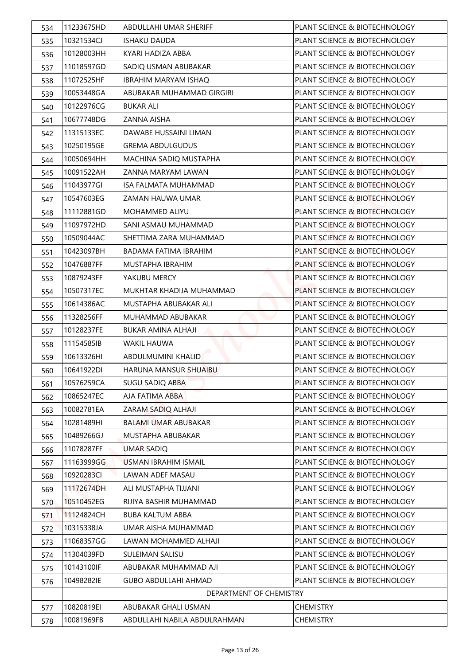| 534 | 11233675HD | ABDULLAHI UMAR SHERIFF       | PLANT SCIENCE & BIOTECHNOLOGY |
|-----|------------|------------------------------|-------------------------------|
| 535 | 10321534CJ | <b>ISHAKU DAUDA</b>          | PLANT SCIENCE & BIOTECHNOLOGY |
| 536 | 10128003HH | KYARI HADIZA ABBA            | PLANT SCIENCE & BIOTECHNOLOGY |
| 537 | 11018597GD | SADIQ USMAN ABUBAKAR         | PLANT SCIENCE & BIOTECHNOLOGY |
| 538 | 11072525HF | <b>IBRAHIM MARYAM ISHAQ</b>  | PLANT SCIENCE & BIOTECHNOLOGY |
| 539 | 10053448GA | ABUBAKAR MUHAMMAD GIRGIRI    | PLANT SCIENCE & BIOTECHNOLOGY |
| 540 | 10122976CG | <b>BUKAR ALI</b>             | PLANT SCIENCE & BIOTECHNOLOGY |
| 541 | 10677748DG | ZANNA AISHA                  | PLANT SCIENCE & BIOTECHNOLOGY |
| 542 | 11315133EC | DAWABE HUSSAINI LIMAN        | PLANT SCIENCE & BIOTECHNOLOGY |
| 543 | 10250195GE | <b>GREMA ABDULGUDUS</b>      | PLANT SCIENCE & BIOTECHNOLOGY |
| 544 | 10050694HH | MACHINA SADIQ MUSTAPHA       | PLANT SCIENCE & BIOTECHNOLOGY |
| 545 | 10091522AH | <b>7ANNA MARYAM LAWAN</b>    | PLANT SCIENCE & BIOTECHNOLOGY |
| 546 | 11043977GI | <b>ISA FALMATA MUHAMMAD</b>  | PLANT SCIENCE & BIOTECHNOLOGY |
| 547 | 10547603EG | ZAMAN HAUWA UMAR             | PLANT SCIENCE & BIOTECHNOLOGY |
| 548 | 11112881GD | <b>MOHAMMED ALIYU</b>        | PLANT SCIENCE & BIOTECHNOLOGY |
| 549 | 11097972HD | SANI ASMAU MUHAMMAD          | PLANT SCIENCE & BIOTECHNOLOGY |
| 550 | 10509044AC | SHETTIMA ZARA MUHAMMAD       | PLANT SCIENCE & BIOTECHNOLOGY |
| 551 | 10423097BH | <b>BADAMA FATIMA IBRAHIM</b> | PLANT SCIENCE & BIOTECHNOLOGY |
| 552 | 10476887FF | MUSTAPHA IBRAHIM             | PLANT SCIENCE & BIOTECHNOLOGY |
| 553 | 10879243FF | YAKUBU MERCY                 | PLANT SCIENCE & BIOTECHNOLOGY |
| 554 | 10507317EC | MUKHTAR KHADIJA MUHAMMAD     | PLANT SCIENCE & BIOTECHNOLOGY |
| 555 | 10614386AC | MUSTAPHA ABUBAKAR ALI        | PLANT SCIENCE & BIOTECHNOLOGY |
| 556 | 11328256FF | MUHAMMAD ABUBAKAR            | PLANT SCIENCE & BIOTECHNOLOGY |
| 557 | 10128237FE | <b>BUKAR AMINA ALHAJI</b>    | PLANT SCIENCE & BIOTECHNOLOGY |
| 558 | 11154585IB | <b>WAKIL HAUWA</b>           | PLANT SCIENCE & BIOTECHNOLOGY |
| 559 | 10613326HI | ABDULMUMINI KHALID           | PLANT SCIENCE & BIOTECHNOLOGY |
| 560 | 10641922DI | HARUNA MANSUR SHUAIBU        | PLANT SCIENCE & BIOTECHNOLOGY |
| 561 | 10576259CA | <b>SUGU SADIQ ABBA</b>       | PLANT SCIENCE & BIOTECHNOLOGY |
| 562 | 10865247EC | AJA FATIMA ABBA              | PLANT SCIENCE & BIOTECHNOLOGY |
| 563 | 10082781EA | ZARAM SADIQ ALHAJI           | PLANT SCIENCE & BIOTECHNOLOGY |
| 564 | 10281489HI | BALAMI UMAR ABUBAKAR         | PLANT SCIENCE & BIOTECHNOLOGY |
| 565 | 10489266GJ | MUSTAPHA ABUBAKAR            | PLANT SCIENCE & BIOTECHNOLOGY |
| 566 | 11078287FF | <b>UMAR SADIQ</b>            | PLANT SCIENCE & BIOTECHNOLOGY |
| 567 | 11163999GG | <b>USMAN IBRAHIM ISMAIL</b>  | PLANT SCIENCE & BIOTECHNOLOGY |
| 568 | 10920283CI | LAWAN ADEF MASAU             | PLANT SCIENCE & BIOTECHNOLOGY |
| 569 | 11172674DH | ALI MUSTAPHA TIJJANI         | PLANT SCIENCE & BIOTECHNOLOGY |
| 570 | 10510452EG | RIJIYA BASHIR MUHAMMAD       | PLANT SCIENCE & BIOTECHNOLOGY |
| 571 | 11124824CH | <b>BUBA KALTUM ABBA</b>      | PLANT SCIENCE & BIOTECHNOLOGY |
| 572 | 10315338JA | UMAR AISHA MUHAMMAD          | PLANT SCIENCE & BIOTECHNOLOGY |
| 573 | 11068357GG | LAWAN MOHAMMED ALHAJI        | PLANT SCIENCE & BIOTECHNOLOGY |
| 574 | 11304039FD | SULEIMAN SALISU              | PLANT SCIENCE & BIOTECHNOLOGY |
| 575 | 10143100IF | ABUBAKAR MUHAMMAD AJI        | PLANT SCIENCE & BIOTECHNOLOGY |
| 576 | 10498282IE | <b>GUBO ABDULLAHI AHMAD</b>  | PLANT SCIENCE & BIOTECHNOLOGY |
|     |            | DEPARTMENT OF CHEMISTRY      |                               |
| 577 | 10820819EI | ABUBAKAR GHALI USMAN         | <b>CHEMISTRY</b>              |
| 578 | 10081969FB | ABDULLAHI NABILA ABDULRAHMAN | <b>CHEMISTRY</b>              |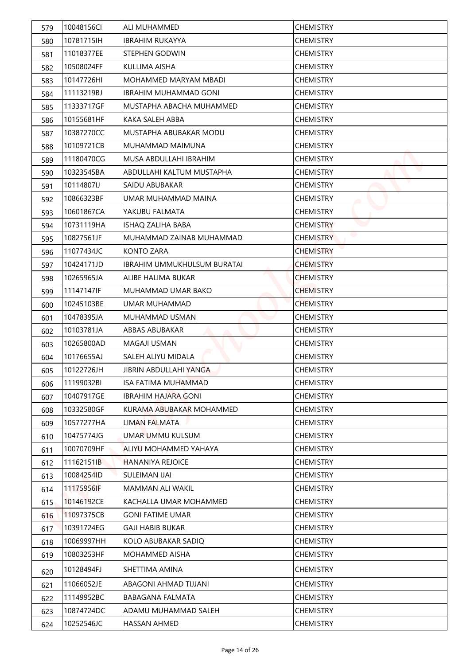| 579        | 10048156CI | ALI MUHAMMED                       | <b>CHEMISTRY</b> |
|------------|------------|------------------------------------|------------------|
| 580        | 10781715IH | <b>IBRAHIM RUKAYYA</b>             | <b>CHEMISTRY</b> |
| 581        | 11018377EE | STEPHEN GODWIN                     | <b>CHEMISTRY</b> |
| 582        | 10508024FF | KULLIMA AISHA                      | <b>CHEMISTRY</b> |
| 583        | 10147726HI | <b>MOHAMMED MARYAM MBADI</b>       | <b>CHEMISTRY</b> |
| 584        | 11113219BJ | <b>IBRAHIM MUHAMMAD GONI</b>       | <b>CHEMISTRY</b> |
| 585        | 11333717GF | MUSTAPHA ABACHA MUHAMMED           | <b>CHEMISTRY</b> |
| 586        | 10155681HF | KAKA SALEH ABBA                    | <b>CHEMISTRY</b> |
| 587        | 10387270CC | MUSTAPHA ABUBAKAR MODU             | <b>CHEMISTRY</b> |
| 588        | 10109721CB | MUHAMMAD MAIMUNA                   | <b>CHEMISTRY</b> |
| 589        | 11180470CG | MUSA ABDULLAHI IBRAHIM             | <b>CHEMISTRY</b> |
| 590        | 10323545BA | ABDULLAHI KALTUM MUSTAPHA          | <b>CHEMISTRY</b> |
| 591        | 10114807IJ | SAIDU ABUBAKAR                     | <b>CHEMISTRY</b> |
| 592        | 10866323BF | UMAR MUHAMMAD MAINA                | <b>CHEMISTRY</b> |
| 593        | 10601867CA | YAKUBU FALMATA                     | <b>CHEMISTRY</b> |
| 594        | 10731119HA | ISHAQ ZALIHA BABA                  | <b>CHEMISTRY</b> |
| 595        | 10827561JF | MUHAMMAD ZAINAB MUHAMMAD           | <b>CHEMISTRY</b> |
| 596        | 11077434JC | <b>KONTO ZARA</b>                  | <b>CHEMISTRY</b> |
| 597        | 10424171JD | <b>IBRAHIM UMMUKHULSUM BURATAI</b> | <b>CHEMISTRY</b> |
| 598        | 10265965JA | ALIBE HALIMA BUKAR                 | <b>CHEMISTRY</b> |
| 599        | 11147147IF | MUHAMMAD UMAR BAKO                 | <b>CHEMISTRY</b> |
| 600        | 10245103BE | UMAR MUHAMMAD                      | <b>CHEMISTRY</b> |
| 601        | 10478395JA | MUHAMMAD USMAN                     | <b>CHEMISTRY</b> |
| 602        | 10103781JA | <b>ABBAS ABUBAKAR</b>              | <b>CHEMISTRY</b> |
| 603        | 10265800AD | <b>MAGAJI USMAN</b>                | <b>CHEMISTRY</b> |
| 604        | 10176655AJ | SALEH ALIYU MIDALA                 | <b>CHEMISTRY</b> |
| 605        | 10122726JH | JIBRIN ABDULLAHI YANGA             | <b>CHEMISTRY</b> |
| 606        | 11199032BI | <b>ISA FATIMA MUHAMMAD</b>         | <b>CHEMISTRY</b> |
| 607        | 10407917GE | <b>IBRAHIM HAJARA GONI</b>         | <b>CHEMISTRY</b> |
| 608        | 10332580GF | KURAMA ABUBAKAR MOHAMMED           | <b>CHEMISTRY</b> |
| 609        | 10577277HA | LIMAN FALMATA                      | <b>CHEMISTRY</b> |
| 610        | 10475774JG | UMAR UMMU KULSUM                   | <b>CHEMISTRY</b> |
| 611        | 10070709HF | ALIYU MOHAMMED YAHAYA              | <b>CHEMISTRY</b> |
| 612        | 11162151IB | <b>HANANIYA REJOICE</b>            | <b>CHEMISTRY</b> |
| 613        | 10084254ID | SULEIMAN IJAI                      | <b>CHEMISTRY</b> |
| 614        | 11175956IF | MAMMAN ALI WAKIL                   | <b>CHEMISTRY</b> |
| 615        | 10146192CE | KACHALLA UMAR MOHAMMED             | <b>CHEMISTRY</b> |
| 616        | 11097375CB | <b>GONI FATIME UMAR</b>            | <b>CHEMISTRY</b> |
| 617        | 10391724EG | <b>GAJI HABIB BUKAR</b>            | <b>CHEMISTRY</b> |
| 618        | 10069997HH | KOLO ABUBAKAR SADIQ                | <b>CHEMISTRY</b> |
| 619        | 10803253HF | MOHAMMED AISHA                     | <b>CHEMISTRY</b> |
|            | 10128494FJ | SHETTIMA AMINA                     | <b>CHEMISTRY</b> |
| 620        | 11066052JE | ABAGONI AHMAD TIJJANI              | <b>CHEMISTRY</b> |
| 621        | 11149952BC | BABAGANA FALMATA                   | <b>CHEMISTRY</b> |
| 622<br>623 | 10874724DC | ADAMU MUHAMMAD SALEH               | <b>CHEMISTRY</b> |
| 624        | 10252546JC | HASSAN AHMED                       | <b>CHEMISTRY</b> |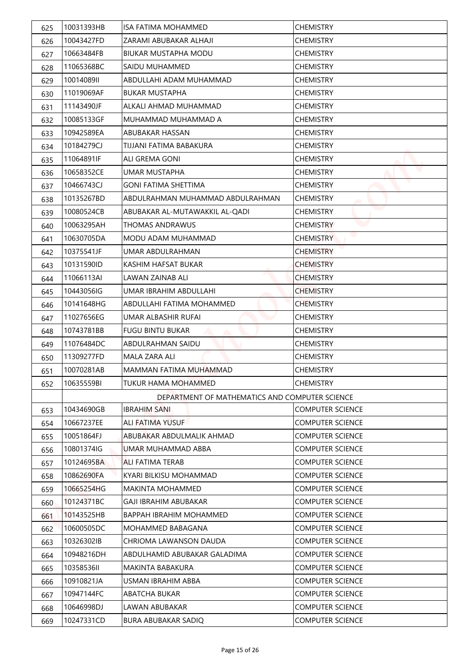| 625 | 10031393HB | <b>ISA FATIMA MOHAMMED</b>                     | <b>CHEMISTRY</b>        |
|-----|------------|------------------------------------------------|-------------------------|
| 626 | 10043427FD | ZARAMI ABUBAKAR ALHAJI                         | <b>CHEMISTRY</b>        |
| 627 | 10663484FB | <b>BIUKAR MUSTAPHA MODU</b>                    | <b>CHEMISTRY</b>        |
| 628 | 11065368BC | SAIDU MUHAMMED                                 | <b>CHEMISTRY</b>        |
| 629 | 1001408911 | ABDULLAHI ADAM MUHAMMAD                        | <b>CHEMISTRY</b>        |
| 630 | 11019069AF | <b>BUKAR MUSTAPHA</b>                          | <b>CHEMISTRY</b>        |
| 631 | 11143490JF | ALKALI AHMAD MUHAMMAD                          | <b>CHEMISTRY</b>        |
| 632 | 10085133GF | MUHAMMAD MUHAMMAD A                            | <b>CHEMISTRY</b>        |
| 633 | 10942589EA | ABUBAKAR HASSAN                                | <b>CHEMISTRY</b>        |
| 634 | 10184279CJ | TIJJANI FATIMA BABAKURA                        | <b>CHEMISTRY</b>        |
| 635 | 11064891IF | ALI GREMA GONI                                 | <b>CHEMISTRY</b>        |
| 636 | 10658352CE | UMAR MUSTAPHA                                  | <b>CHEMISTRY</b>        |
| 637 | 10466743CJ | <b>GONI FATIMA SHETTIMA</b>                    | <b>CHEMISTRY</b>        |
| 638 | 10135267BD | ABDULRAHMAN MUHAMMAD ABDULRAHMAN               | <b>CHEMISTRY</b>        |
| 639 | 10080524CB | ABUBAKAR AL-MUTAWAKKIL AL-QADI                 | <b>CHEMISTRY</b>        |
| 640 | 10063295AH | <b>THOMAS ANDRAWUS</b>                         | <b>CHEMISTRY</b>        |
| 641 | 10630705DA | MODU ADAM MUHAMMAD                             | <b>CHEMISTRY</b>        |
| 642 | 10375541JF | UMAR ABDULRAHMAN                               | <b>CHEMISTRY</b>        |
| 643 | 10131590ID | KASHIM HAFSAT BUKAR                            | <b>CHEMISTRY</b>        |
| 644 | 11066113AI | LAWAN ZAINAB ALI                               | <b>CHEMISTRY</b>        |
| 645 | 10443056IG | UMAR IBRAHIM ABDULLAHI                         | <b>CHEMISTRY</b>        |
| 646 | 10141648HG | ABDULLAHI FATIMA MOHAMMED                      | <b>CHEMISTRY</b>        |
| 647 | 11027656EG | UMAR ALBASHIR RUFAI                            | <b>CHEMISTRY</b>        |
| 648 | 10743781BB | <b>FUGU BINTU BUKAR</b>                        | <b>CHEMISTRY</b>        |
| 649 | 11076484DC | ABDULRAHMAN SAIDU                              | <b>CHEMISTRY</b>        |
| 650 | 11309277FD | MALA ZARA ALI                                  | <b>CHEMISTRY</b>        |
| 651 | 10070281AB | MAMMAN FATIMA MUHAMMAD                         | <b>CHEMISTRY</b>        |
| 652 | 10635559BI | <b>TUKUR HAMA MOHAMMED</b>                     | <b>CHEMISTRY</b>        |
|     |            | DEPARTMENT OF MATHEMATICS AND COMPUTER SCIENCE |                         |
| 653 | 10434690GB | <b>IBRAHIM SANI</b>                            | <b>COMPUTER SCIENCE</b> |
| 654 | 10667237EE | <b>ALI FATIMA YUSUF</b>                        | <b>COMPUTER SCIENCE</b> |
| 655 | 10051864FJ | ABUBAKAR ABDULMALIK AHMAD                      | <b>COMPUTER SCIENCE</b> |
| 656 | 10801374IG | UMAR MUHAMMAD ABBA                             | <b>COMPUTER SCIENCE</b> |
| 657 | 10124695BA | <b>ALI FATIMA TERAB</b>                        | <b>COMPUTER SCIENCE</b> |
| 658 | 10862690FA | KYARI BILKISU MOHAMMAD                         | <b>COMPUTER SCIENCE</b> |
| 659 | 10665254HG | <b>MAKINTA MOHAMMED</b>                        | <b>COMPUTER SCIENCE</b> |
| 660 | 10124371BC | <b>GAJI IBRAHIM ABUBAKAR</b>                   | <b>COMPUTER SCIENCE</b> |
| 661 | 10143525HB | BAPPAH IBRAHIM MOHAMMED                        | <b>COMPUTER SCIENCE</b> |
| 662 | 10600505DC | MOHAMMED BABAGANA                              | <b>COMPUTER SCIENCE</b> |
| 663 | 10326302IB | CHRIOMA LAWANSON DAUDA                         | <b>COMPUTER SCIENCE</b> |
| 664 | 10948216DH | ABDULHAMID ABUBAKAR GALADIMA                   | <b>COMPUTER SCIENCE</b> |
| 665 | 10358536II | MAKINTA BABAKURA                               | <b>COMPUTER SCIENCE</b> |
| 666 | 10910821JA | USMAN IBRAHIM ABBA                             | <b>COMPUTER SCIENCE</b> |
| 667 | 10947144FC | ABATCHA BUKAR                                  | <b>COMPUTER SCIENCE</b> |
| 668 | 10646998DJ | LAWAN ABUBAKAR                                 | <b>COMPUTER SCIENCE</b> |
| 669 | 10247331CD | <b>BURA ABUBAKAR SADIQ</b>                     | <b>COMPUTER SCIENCE</b> |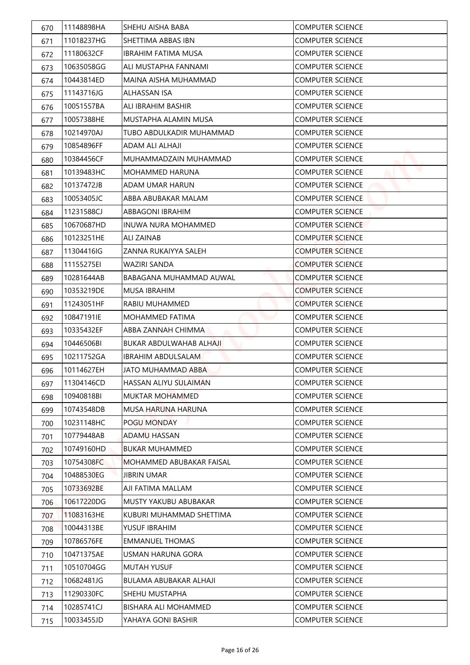| 670 | 11148898HA | SHEHU AISHA BABA           | <b>COMPUTER SCIENCE</b> |
|-----|------------|----------------------------|-------------------------|
| 671 | 11018237HG | SHETTIMA ABBAS IBN         | <b>COMPUTER SCIENCE</b> |
| 672 | 11180632CF | IBRAHIM FATIMA MUSA        | <b>COMPUTER SCIENCE</b> |
| 673 | 10635058GG | ALI MUSTAPHA FANNAMI       | <b>COMPUTER SCIENCE</b> |
| 674 | 10443814ED | MAINA AISHA MUHAMMAD       | <b>COMPUTER SCIENCE</b> |
| 675 | 11143716JG | ALHASSAN ISA               | <b>COMPUTER SCIENCE</b> |
| 676 | 10051557BA | ALI IBRAHIM BASHIR         | <b>COMPUTER SCIENCE</b> |
| 677 | 10057388HE | MUSTAPHA ALAMIN MUSA       | <b>COMPUTER SCIENCE</b> |
| 678 | 10214970AJ | TUBO ABDULKADIR MUHAMMAD   | <b>COMPUTER SCIENCE</b> |
| 679 | 10854896FF | ADAM ALI ALHAJI            | <b>COMPUTER SCIENCE</b> |
| 680 | 10384456CF | MUHAMMADZAIN MUHAMMAD      | <b>COMPUTER SCIENCE</b> |
| 681 | 10139483HC | MOHAMMED HARUNA            | <b>COMPUTER SCIENCE</b> |
| 682 | 10137472JB | ADAM UMAR HARUN            | <b>COMPUTER SCIENCE</b> |
| 683 | 10053405JC | ABBA ABUBAKAR MALAM        | <b>COMPUTER SCIENCE</b> |
| 684 | 11231588CJ | ABBAGONI IBRAHIM           | <b>COMPUTER SCIENCE</b> |
| 685 | 10670687HD | <b>INUWA NURA MOHAMMED</b> | <b>COMPUTER SCIENCE</b> |
| 686 | 10123251HE | <b>ALI ZAINAB</b>          | <b>COMPUTER SCIENCE</b> |
| 687 | 11304416IG | ZANNA RUKAIYYA SALEH       | <b>COMPUTER SCIENCE</b> |
| 688 | 11155275EI | WAZIRI SANDA               | <b>COMPUTER SCIENCE</b> |
| 689 | 10281644AB | BABAGANA MUHAMMAD AUWAL    | <b>COMPUTER SCIENCE</b> |
| 690 | 10353219DE | <b>MUSA IBRAHIM</b>        | <b>COMPUTER SCIENCE</b> |
| 691 | 11243051HF | RABIU MUHAMMED             | <b>COMPUTER SCIENCE</b> |
| 692 | 10847191IE | MOHAMMED FATIMA            | <b>COMPUTER SCIENCE</b> |
| 693 | 10335432EF | ABBA ZANNAH CHIMMA         | <b>COMPUTER SCIENCE</b> |
| 694 | 10446506BI | BUKAR ABDULWAHAB ALHAJI    | <b>COMPUTER SCIENCE</b> |
| 695 | 10211752GA | <b>IBRAHIM ABDULSALAM</b>  | <b>COMPUTER SCIENCE</b> |
| 696 | 10114627EH | JATO MUHAMMAD ABBA         | <b>COMPUTER SCIENCE</b> |
| 697 | 11304146CD | HASSAN ALIYU SULAIMAN      | <b>COMPUTER SCIENCE</b> |
| 698 | 10940818BI | MUKTAR MOHAMMED            | <b>COMPUTER SCIENCE</b> |
| 699 | 10743548DB | MUSA HARUNA HARUNA         | <b>COMPUTER SCIENCE</b> |
| 700 | 10231148HC | POGU MONDAY                | <b>COMPUTER SCIENCE</b> |
| 701 | 10779448AB | <b>ADAMU HASSAN</b>        | <b>COMPUTER SCIENCE</b> |
| 702 | 10749160HD | <b>BUKAR MUHAMMED</b>      | <b>COMPUTER SCIENCE</b> |
| 703 | 10754308FC | MOHAMMED ABUBAKAR FAISAL   | <b>COMPUTER SCIENCE</b> |
| 704 | 10488530EG | <b>JIBRIN UMAR</b>         | <b>COMPUTER SCIENCE</b> |
| 705 | 10733692BE | AJI FATIMA MALLAM          | <b>COMPUTER SCIENCE</b> |
| 706 | 10617220DG | MUSTY YAKUBU ABUBAKAR      | <b>COMPUTER SCIENCE</b> |
| 707 | 11083163HE | KUBURI MUHAMMAD SHETTIMA   | <b>COMPUTER SCIENCE</b> |
| 708 | 10044313BE | YUSUF IBRAHIM              | <b>COMPUTER SCIENCE</b> |
| 709 | 10786576FE | <b>EMMANUEL THOMAS</b>     | <b>COMPUTER SCIENCE</b> |
| 710 | 10471375AE | USMAN HARUNA GORA          | <b>COMPUTER SCIENCE</b> |
| 711 | 10510704GG | <b>MUTAH YUSUF</b>         | <b>COMPUTER SCIENCE</b> |
| 712 | 10682481JG | BULAMA ABUBAKAR ALHAJI     | <b>COMPUTER SCIENCE</b> |
| 713 | 11290330FC | SHEHU MUSTAPHA             | <b>COMPUTER SCIENCE</b> |
| 714 | 10285741CJ | BISHARA ALI MOHAMMED       | <b>COMPUTER SCIENCE</b> |
| 715 | 10033455JD | YAHAYA GONI BASHIR         | <b>COMPUTER SCIENCE</b> |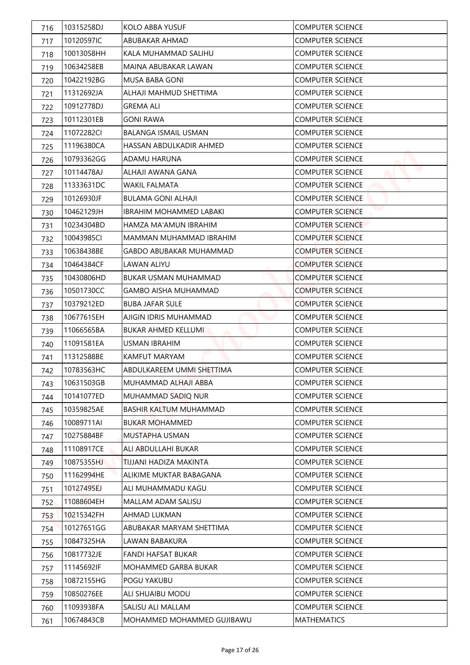| 716 | 10315258DJ  | KOLO ABBA YUSUF                | <b>COMPUTER SCIENCE</b> |
|-----|-------------|--------------------------------|-------------------------|
| 717 | 10120597IC  | ABUBAKAR AHMAD                 | <b>COMPUTER SCIENCE</b> |
| 718 | 10013058HH  | KALA MUHAMMAD SALIHU           | <b>COMPUTER SCIENCE</b> |
| 719 | 10634258EB  | MAINA ABUBAKAR LAWAN           | <b>COMPUTER SCIENCE</b> |
| 720 | 10422192BG  | MUSA BABA GONI                 | <b>COMPUTER SCIENCE</b> |
| 721 | 11312692JA  | ALHAJI MAHMUD SHETTIMA         | <b>COMPUTER SCIENCE</b> |
| 722 | 10912778DJ  | <b>GREMA ALI</b>               | <b>COMPUTER SCIENCE</b> |
| 723 | 10112301EB  | <b>GONI RAWA</b>               | <b>COMPUTER SCIENCE</b> |
| 724 | 11072282CI  | <b>BALANGA ISMAIL USMAN</b>    | <b>COMPUTER SCIENCE</b> |
| 725 | 111196380CA | HASSAN ABDULKADIR AHMED        | <b>COMPUTER SCIENCE</b> |
| 726 | 10793362GG  | ADAMU HARUNA                   | <b>COMPUTER SCIENCE</b> |
| 727 | 10114478AJ  | ALHAJI AWANA GANA              | <b>COMPUTER SCIENCE</b> |
| 728 | 11333631DC  | <b>WAKIL FALMATA</b>           | <b>COMPUTER SCIENCE</b> |
| 729 | 10126930JF  | BULAMA GONI ALHAJI             | <b>COMPUTER SCIENCE</b> |
| 730 | 10462129JH  | <b>IBRAHIM MOHAMMED LABAKI</b> | <b>COMPUTER SCIENCE</b> |
| 731 | 10234304BD  | HAMZA MA'AMUN IBRAHIM          | <b>COMPUTER SCIENCE</b> |
| 732 | 10043985CI  | MAMMAN MUHAMMAD IBRAHIM        | <b>COMPUTER SCIENCE</b> |
| 733 | 10638438BE  | GABDO ABUBAKAR MUHAMMAD        | <b>COMPUTER SCIENCE</b> |
| 734 | 10464384CF  | LAWAN ALIYU                    | <b>COMPUTER SCIENCE</b> |
| 735 | 10430806HD  | <b>BUKAR USMAN MUHAMMAD</b>    | <b>COMPUTER SCIENCE</b> |
| 736 | 10501730CC  | <b>GAMBO AISHA MUHAMMAD</b>    | <b>COMPUTER SCIENCE</b> |
| 737 | 10379212ED  | <b>BUBA JAFAR SULE</b>         | <b>COMPUTER SCIENCE</b> |
| 738 | 10677615EH  | AJIGIN IDRIS MUHAMMAD          | <b>COMPUTER SCIENCE</b> |
| 739 | 11066565BA  | <b>BUKAR AHMED KELLUMI</b>     | <b>COMPUTER SCIENCE</b> |
| 740 | 11091581EA  | <b>USMAN IBRAHIM</b>           | <b>COMPUTER SCIENCE</b> |
| 741 | 11312588BE  | KAMFUT MARYAM                  | <b>COMPUTER SCIENCE</b> |
| 742 | 10783563HC  | ABDULKAREEM UMMI SHETTIMA      | <b>COMPUTER SCIENCE</b> |
| 743 | 10631503GB  | MUHAMMAD ALHAJI ABBA           | <b>COMPUTER SCIENCE</b> |
| 744 | 10141077ED  | MUHAMMAD SADIQ NUR             | <b>COMPUTER SCIENCE</b> |
| 745 | 10359825AE  | BASHIR KALTUM MUHAMMAD         | <b>COMPUTER SCIENCE</b> |
| 746 | 10089711AI  | <b>BUKAR MOHAMMED</b>          | <b>COMPUTER SCIENCE</b> |
| 747 | 10275884BF  | MUSTAPHA USMAN                 | <b>COMPUTER SCIENCE</b> |
| 748 | 11108917CE  | ALI ABDULLAHI BUKAR            | <b>COMPUTER SCIENCE</b> |
| 749 | 10875355HJ  | TIJJANI HADIZA MAKINTA         | <b>COMPUTER SCIENCE</b> |
| 750 | 11162994HE  | ALIKIME MUKTAR BABAGANA        | <b>COMPUTER SCIENCE</b> |
| 751 | 10127495EJ  | ALI MUHAMMADU KAGU             | <b>COMPUTER SCIENCE</b> |
| 752 | 11088604EH  | MALLAM ADAM SALISU             | <b>COMPUTER SCIENCE</b> |
| 753 | 10215342FH  | AHMAD LUKMAN                   | <b>COMPUTER SCIENCE</b> |
| 754 | 10127651GG  | ABUBAKAR MARYAM SHETTIMA       | <b>COMPUTER SCIENCE</b> |
| 755 | 10847325HA  | LAWAN BABAKURA                 | <b>COMPUTER SCIENCE</b> |
| 756 | 10817732JE  | <b>FANDI HAFSAT BUKAR</b>      | <b>COMPUTER SCIENCE</b> |
| 757 | 11145692IF  | MOHAMMED GARBA BUKAR           | <b>COMPUTER SCIENCE</b> |
| 758 | 10872155HG  | POGU YAKUBU                    | <b>COMPUTER SCIENCE</b> |
| 759 | 10850276EE  | ALI SHUAIBU MODU               | <b>COMPUTER SCIENCE</b> |
| 760 | 11093938FA  | SALISU ALI MALLAM              | <b>COMPUTER SCIENCE</b> |
| 761 | 10674843CB  | MOHAMMED MOHAMMED GUJIBAWU     | <b>MATHEMATICS</b>      |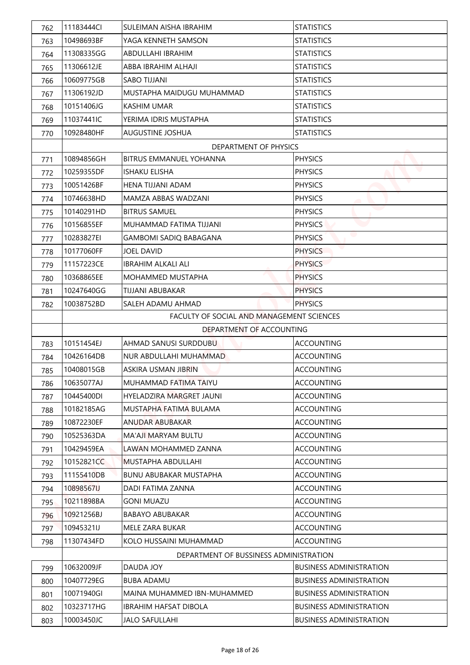| 762        | 11183444Cl | SULEIMAN AISHA IBRAHIM                    | <b>STATISTICS</b>              |
|------------|------------|-------------------------------------------|--------------------------------|
| 763        | 10498693BF | YAGA KENNETH SAMSON                       | <b>STATISTICS</b>              |
| 764        | 11308335GG | ABDULLAHI IBRAHIM                         | <b>STATISTICS</b>              |
| 765        | 11306612JE | ABBA IBRAHIM ALHAJI                       | <b>STATISTICS</b>              |
| 766        | 10609775GB | <b>SABO TIJJANI</b>                       | <b>STATISTICS</b>              |
| 767        | 11306192JD | MUSTAPHA MAIDUGU MUHAMMAD                 | <b>STATISTICS</b>              |
| 768        | 10151406JG | <b>KASHIM UMAR</b>                        | <b>STATISTICS</b>              |
| 769        | 11037441IC | YERIMA IDRIS MUSTAPHA                     | <b>STATISTICS</b>              |
| 770        | 10928480HF | <b>AUGUSTINE JOSHUA</b>                   | <b>STATISTICS</b>              |
|            |            | DEPARTMENT OF PHYSICS                     |                                |
| 771        | 10894856GH | BITRUS EMMANUEL YOHANNA                   | <b>PHYSICS</b>                 |
| 772        | 10259355DF | <b>ISHAKU ELISHA</b>                      | <b>PHYSICS</b>                 |
| 773        | 10051426BF | HENA TIJJANI ADAM                         | <b>PHYSICS</b>                 |
| 774        | 10746638HD | MAM7A ABBAS WAD7ANI                       | <b>PHYSICS</b>                 |
| 775        | 10140291HD | <b>BITRUS SAMUEL</b>                      | <b>PHYSICS</b>                 |
| 776        | 10156855EF | MUHAMMAD FATIMA TIJJANI                   | <b>PHYSICS</b>                 |
| 777        | 10283827EI | <b>GAMBOMI SADIQ BABAGANA</b>             | <b>PHYSICS</b>                 |
| 778        | 10177060FF | <b>JOEL DAVID</b>                         | <b>PHYSICS</b>                 |
| 779        | 11157223CE | <b>IBRAHIM ALKALI ALI</b>                 | <b>PHYSICS</b>                 |
| 780        | 10368865EE | <b>MOHAMMED MUSTAPHA</b>                  | <b>PHYSICS</b>                 |
| 781        | 10247640GG | TIJJANI ABUBAKAR                          | <b>PHYSICS</b>                 |
| 782        | 10038752BD | SALEH ADAMU AHMAD                         | <b>PHYSICS</b>                 |
|            |            | FACULTY OF SOCIAL AND MANAGEMENT SCIENCES |                                |
|            |            | DEPARTMENT OF ACCOUNTING                  |                                |
| 783        | 10151454EJ | AHMAD SANUSI SURDDUBU                     | <b>ACCOUNTING</b>              |
|            | 10426164DB | NUR ABDULLAHI MUHAMMAD                    | <b>ACCOUNTING</b>              |
| 784<br>785 | 10408015GB | ASKIRA USMAN JIBRIN                       | <b>ACCOUNTING</b>              |
|            | 10635077AJ | MUHAMMAD FATIMA TAIYU                     | <b>ACCOUNTING</b>              |
| 786        | 10445400DI | HYELADZIRA MARGRET JAUNI                  | <b>ACCOUNTING</b>              |
| 787        |            |                                           | <b>ACCOUNTING</b>              |
| 788        | 10182185AG | MUSTAPHA FATIMA BULAMA                    |                                |
| 789        | 10872230EF | ANUDAR ABUBAKAR                           | <b>ACCOUNTING</b>              |
| 790        | 10525363DA | MA'AJI MARYAM BULTU                       | <b>ACCOUNTING</b>              |
| 791        | 10429459EA | LAWAN MOHAMMED ZANNA                      | <b>ACCOUNTING</b>              |
| 792        | 10152821CC | MUSTAPHA ABDULLAHI                        | <b>ACCOUNTING</b>              |
| 793        | 11155410DB | <b>BUNU ABUBAKAR MUSTAPHA</b>             | <b>ACCOUNTING</b>              |
| 794        | 10898567IJ | DADI FATIMA ZANNA                         | <b>ACCOUNTING</b>              |
| 795        | 10211898BA | <b>GONI MUAZU</b>                         | <b>ACCOUNTING</b>              |
| 796        | 10921256BJ | <b>BABAYO ABUBAKAR</b>                    | <b>ACCOUNTING</b>              |
| 797        | 10945321IJ | MELE ZARA BUKAR                           | <b>ACCOUNTING</b>              |
| 798        | 11307434FD | KOLO HUSSAINI MUHAMMAD                    | <b>ACCOUNTING</b>              |
|            |            | DEPARTMENT OF BUSSINESS ADMINISTRATION    |                                |
| 799        | 10632009JF | DAUDA JOY                                 | <b>BUSINESS ADMINISTRATION</b> |
| 800        | 10407729EG | BUBA ADAMU                                | <b>BUSINESS ADMINISTRATION</b> |
| 801        | 10071940GI | MAINA MUHAMMED IBN-MUHAMMED               | <b>BUSINESS ADMINISTRATION</b> |
| 802        | 10323717HG | <b>IBRAHIM HAFSAT DIBOLA</b>              | <b>BUSINESS ADMINISTRATION</b> |
| 803        | 10003450JC | <b>JALO SAFULLAHI</b>                     | <b>BUSINESS ADMINISTRATION</b> |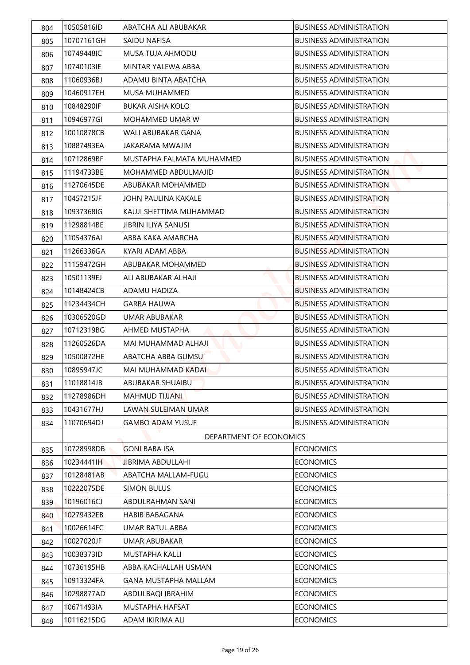| 804 | 10505816ID | ABATCHA ALI ABUBAKAR        | <b>BUSINESS ADMINISTRATION</b> |
|-----|------------|-----------------------------|--------------------------------|
| 805 | 10707161GH | SAIDU NAFISA                | <b>BUSINESS ADMINISTRATION</b> |
| 806 | 10749448IC | MUSA TUJA AHMODU            | <b>BUSINESS ADMINISTRATION</b> |
| 807 | 10740103IE | MINTAR YALEWA ABBA          | <b>BUSINESS ADMINISTRATION</b> |
| 808 | 11060936BJ | ADAMU BINTA ABATCHA         | <b>BUSINESS ADMINISTRATION</b> |
| 809 | 10460917EH | <b>MUSA MUHAMMED</b>        | <b>BUSINESS ADMINISTRATION</b> |
| 810 | 10848290IF | <b>BUKAR AISHA KOLO</b>     | <b>BUSINESS ADMINISTRATION</b> |
| 811 | 10946977GI | MOHAMMED UMAR W             | <b>BUSINESS ADMINISTRATION</b> |
| 812 | 10010878CB | WALI ABUBAKAR GANA          | <b>BUSINESS ADMINISTRATION</b> |
| 813 | 10887493EA | JAKARAMA MWAJIM             | <b>BUSINESS ADMINISTRATION</b> |
| 814 | 10712869BF | MUSTAPHA FALMATA MUHAMMED   | <b>BUSINESS ADMINISTRATION</b> |
| 815 | 11194733BE | MOHAMMED ABDULMAJID         | <b>BUSINESS ADMINISTRATION</b> |
| 816 | 11270645DE | ABUBAKAR MOHAMMED           | <b>BUSINESS ADMINISTRATION</b> |
| 817 | 10457215JF | JOHN PAULINA KAKALE         | <b>BUSINESS ADMINISTRATION</b> |
| 818 | 10937368IG | KAUJI SHETTIMA MUHAMMAD     | <b>BUSINESS ADMINISTRATION</b> |
| 819 | 11298814BE | <b>JIBRIN ILIYA SANUSI</b>  | <b>BUSINESS ADMINISTRATION</b> |
| 820 | 11054376AI | ABBA KAKA AMARCHA           | <b>BUSINESS ADMINISTRATION</b> |
| 821 | 11266336GA | KYARI ADAM ABBA             | <b>BUSINESS ADMINISTRATION</b> |
| 822 | 11159472GH | ABUBAKAR MOHAMMED           | <b>BUSINESS ADMINISTRATION</b> |
| 823 | 10501139EJ | ALI ABUBAKAR ALHAJI         | <b>BUSINESS ADMINISTRATION</b> |
| 824 | 10148424CB | ADAMU HADIZA                | <b>BUSINESS ADMINISTRATION</b> |
| 825 | 11234434CH | <b>GARBA HAUWA</b>          | <b>BUSINESS ADMINISTRATION</b> |
| 826 | 10306520GD | UMAR ABUBAKAR               | <b>BUSINESS ADMINISTRATION</b> |
| 827 | 10712319BG | AHMED MUSTAPHA              | <b>BUSINESS ADMINISTRATION</b> |
| 828 | 11260526DA | MAI MUHAMMAD ALHAJI         | <b>BUSINESS ADMINISTRATION</b> |
| 829 | 10500872HE | ABATCHA ABBA GUMSU          | <b>BUSINESS ADMINISTRATION</b> |
| 830 | 10895947JC | MAI MUHAMMAD KADAI          | <b>BUSINESS ADMINISTRATION</b> |
| 831 | 11018814JB | ABUBAKAR SHUAIBU            | <b>BUSINESS ADMINISTRATION</b> |
| 832 | 11278986DH | <b>MAHMUD TIJJANI</b>       | <b>BUSINESS ADMINISTRATION</b> |
| 833 | 10431677HJ | LAWAN SULEIMAN UMAR         | <b>BUSINESS ADMINISTRATION</b> |
| 834 | 11070694DJ | <b>GAMBO ADAM YUSUF</b>     | <b>BUSINESS ADMINISTRATION</b> |
|     |            | DEPARTMENT OF ECONOMICS     |                                |
| 835 | 10728998DB | <b>GONI BABA ISA</b>        | <b>ECONOMICS</b>               |
| 836 | 10234441IH | <b>JIBRIMA ABDULLAHI</b>    | <b>ECONOMICS</b>               |
| 837 | 10128481AB | ABATCHA MALLAM-FUGU         | <b>ECONOMICS</b>               |
| 838 | 10222075DE | <b>SIMON BULUS</b>          | <b>ECONOMICS</b>               |
| 839 | 10196016CJ | ABDULRAHMAN SANI            | <b>ECONOMICS</b>               |
| 840 | 10279432EB | <b>HABIB BABAGANA</b>       | <b>ECONOMICS</b>               |
| 841 | 10026614FC | UMAR BATUL ABBA             | <b>ECONOMICS</b>               |
| 842 | 10027020JF | UMAR ABUBAKAR               | <b>ECONOMICS</b>               |
| 843 | 10038373ID | MUSTAPHA KALLI              | <b>ECONOMICS</b>               |
| 844 | 10736195HB | ABBA KACHALLAH USMAN        | <b>ECONOMICS</b>               |
| 845 | 10913324FA | <b>GANA MUSTAPHA MALLAM</b> | <b>ECONOMICS</b>               |
| 846 | 10298877AD | ABDULBAQI IBRAHIM           | <b>ECONOMICS</b>               |
| 847 | 10671493IA | MUSTAPHA HAFSAT             | <b>ECONOMICS</b>               |
| 848 | 10116215DG | ADAM IKIRIMA ALI            | <b>ECONOMICS</b>               |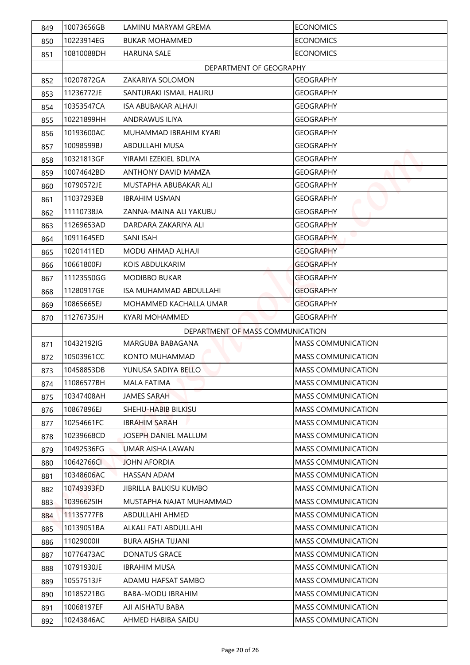| 849 | 10073656GB | LAMINU MARYAM GREMA              | <b>ECONOMICS</b>          |
|-----|------------|----------------------------------|---------------------------|
| 850 | 10223914EG | <b>BUKAR MOHAMMED</b>            | <b>ECONOMICS</b>          |
| 851 | 10810088DH | <b>HARUNA SALE</b>               | <b>ECONOMICS</b>          |
|     |            | DEPARTMENT OF GEOGRAPHY          |                           |
| 852 | 10207872GA | ZAKARIYA SOLOMON                 | <b>GEOGRAPHY</b>          |
| 853 | 11236772JE | SANTURAKI ISMAIL HALIRU          | <b>GEOGRAPHY</b>          |
| 854 | 10353547CA | <b>ISA ABUBAKAR ALHAJI</b>       | <b>GEOGRAPHY</b>          |
| 855 | 10221899HH | ANDRAWUS ILIYA                   | <b>GEOGRAPHY</b>          |
| 856 | 10193600AC | MUHAMMAD IBRAHIM KYARI           | <b>GEOGRAPHY</b>          |
| 857 | 10098599BJ | ABDULLAHI MUSA                   | <b>GEOGRAPHY</b>          |
| 858 | 10321813GF | YIRAMI F7FKIFI BDI IYA           | <b>GEOGRAPHY</b>          |
| 859 | 10074642BD | <b>ANTHONY DAVID MAMZA</b>       | <b>GEOGRAPHY</b>          |
| 860 | 10790572JE | MUSTAPHA ABUBAKAR ALI            | <b>GEOGRAPHY</b>          |
| 861 | 11037293EB | <b>IBRAHIM USMAN</b>             | <b>GEOGRAPHY</b>          |
| 862 | 11110738JA | ZANNA-MAINA ALI YAKUBU           | <b>GEOGRAPHY</b>          |
| 863 | 11269653AD | DARDARA ZAKARIYA ALI             | <b>GEOGRAPHY</b>          |
| 864 | 10911645ED | <b>SANI ISAH</b>                 | <b>GEOGRAPHY</b>          |
| 865 | 10201411ED | MODU AHMAD ALHAJI                | <b>GEOGRAPHY</b>          |
| 866 | 10661800FJ | KOIS ABDULKARIM                  | <b>GEOGRAPHY</b>          |
| 867 | 11123550GG | MODIBBO BUKAR                    | <b>GEOGRAPHY</b>          |
| 868 | 11280917GE | <b>ISA MUHAMMAD ABDULLAHI</b>    | <b>GEOGRAPHY</b>          |
| 869 | 10865665EJ | MOHAMMED KACHALLA UMAR           | <b>GEOGRAPHY</b>          |
| 870 | 11276735JH | <b>KYARI MOHAMMED</b>            | <b>GEOGRAPHY</b>          |
|     |            | DEPARTMENT OF MASS COMMUNICATION |                           |
| 871 | 10432192IG | MARGUBA BABAGANA                 | <b>MASS COMMUNICATION</b> |
| 872 | 10503961CC | KONTO MUHAMMAD                   | <b>MASS COMMUNICATION</b> |
| 873 | 10458853DB | YUNUSA SADIYA BELLO              | <b>MASS COMMUNICATION</b> |
| 874 | 11086577BH | <b>MALA FATIMA</b>               | <b>MASS COMMUNICATION</b> |
| 875 | 10347408AH | <b>JAMES SARAH</b>               | <b>MASS COMMUNICATION</b> |
| 876 | 10867896EJ | SHEHU-HABIB BILKISU              | <b>MASS COMMUNICATION</b> |
| 877 | 10254661FC | <b>IBRAHIM SARAH</b>             | <b>MASS COMMUNICATION</b> |
| 878 | 10239668CD | JOSEPH DANIEL MALLUM             | <b>MASS COMMUNICATION</b> |
| 879 | 10492536FG | <b>UMAR AISHA LAWAN</b>          | <b>MASS COMMUNICATION</b> |
| 880 | 10642766CL | <b>JOHN AFORDIA</b>              | <b>MASS COMMUNICATION</b> |
| 881 | 10348606AC | HASSAN ADAM                      | <b>MASS COMMUNICATION</b> |
| 882 | 10749393FD | JIBRILLA BALKISU KUMBO           | <b>MASS COMMUNICATION</b> |
| 883 | 10396625IH | MUSTAPHA NAJAT MUHAMMAD          | <b>MASS COMMUNICATION</b> |
| 884 | 11135777FB | ABDULLAHI AHMED                  | <b>MASS COMMUNICATION</b> |
| 885 | 10139051BA | ALKALI FATI ABDULLAHI            | <b>MASS COMMUNICATION</b> |
| 886 | 11029000II | <b>BURA AISHA TIJJANI</b>        | <b>MASS COMMUNICATION</b> |
| 887 | 10776473AC | <b>DONATUS GRACE</b>             | <b>MASS COMMUNICATION</b> |
| 888 | 10791930JE | <b>IBRAHIM MUSA</b>              | <b>MASS COMMUNICATION</b> |
| 889 | 10557513JF | ADAMU HAFSAT SAMBO               | <b>MASS COMMUNICATION</b> |
| 890 | 10185221BG | <b>BABA-MODU IBRAHIM</b>         | <b>MASS COMMUNICATION</b> |
| 891 | 10068197EF | AJI AISHATU BABA                 | <b>MASS COMMUNICATION</b> |
| 892 | 10243846AC | AHMED HABIBA SAIDU               | <b>MASS COMMUNICATION</b> |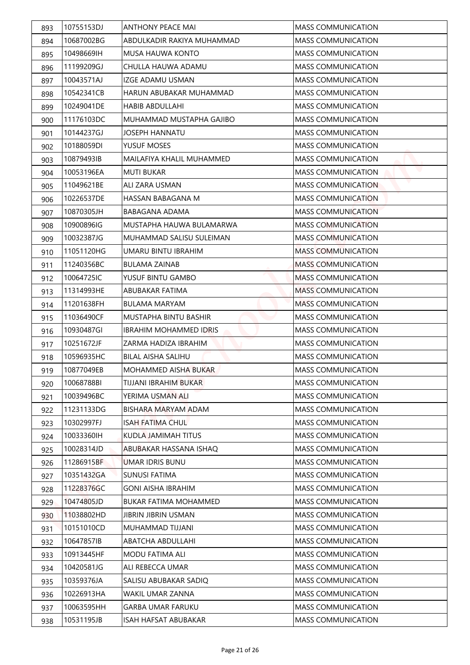| 893 | 10755153DJ | <b>ANTHONY PEACE MAI</b>      | <b>MASS COMMUNICATION</b> |
|-----|------------|-------------------------------|---------------------------|
| 894 | 10687002BG | ABDULKADIR RAKIYA MUHAMMAD    | <b>MASS COMMUNICATION</b> |
| 895 | 10498669IH | <b>MUSA HAUWA KONTO</b>       | <b>MASS COMMUNICATION</b> |
| 896 | 11199209GJ | CHULLA HAUWA ADAMU            | <b>MASS COMMUNICATION</b> |
| 897 | 10043571AJ | <b>IZGE ADAMU USMAN</b>       | <b>MASS COMMUNICATION</b> |
| 898 | 10542341CB | HARUN ABUBAKAR MUHAMMAD       | <b>MASS COMMUNICATION</b> |
| 899 | 10249041DE | <b>HABIB ABDULLAHI</b>        | <b>MASS COMMUNICATION</b> |
| 900 | 11176103DC | MUHAMMAD MUSTAPHA GAJIBO      | <b>MASS COMMUNICATION</b> |
| 901 | 10144237GJ | <b>JOSEPH HANNATU</b>         | <b>MASS COMMUNICATION</b> |
| 902 | 10188059DI | YUSUF MOSES                   | <b>MASS COMMUNICATION</b> |
| 903 | 10879493IB | MAILAFIYA KHALIL MUHAMMED     | <b>MASS COMMUNICATION</b> |
| 904 | 10053196EA | <b>MUTI BUKAR</b>             | <b>MASS COMMUNICATION</b> |
| 905 | 11049621BE | ALI ZARA USMAN                | <b>MASS COMMUNICATION</b> |
| 906 | 10226537DE | HASSAN BABAGANA M             | <b>MASS COMMUNICATION</b> |
| 907 | 10870305JH | BABAGANA ADAMA                | <b>MASS COMMUNICATION</b> |
| 908 | 10900896IG | MUSTAPHA HAUWA BULAMARWA      | <b>MASS COMMUNICATION</b> |
| 909 | 10032387JG | MUHAMMAD SALISU SULEIMAN      | <b>MASS COMMUNICATION</b> |
| 910 | 11051120HG | UMARU BINTU IBRAHIM           | <b>MASS COMMUNICATION</b> |
| 911 | 11240356BC | <b>BULAMA ZAINAB</b>          | <b>MASS COMMUNICATION</b> |
| 912 | 10064725IC | YUSUF BINTU GAMBO             | <b>MASS COMMUNICATION</b> |
| 913 | 11314993HE | ABUBAKAR FATIMA               | <b>MASS COMMUNICATION</b> |
| 914 | 11201638FH | <b>BULAMA MARYAM</b>          | <b>MASS COMMUNICATION</b> |
| 915 | 11036490CF | MUSTAPHA BINTU BASHIR         | <b>MASS COMMUNICATION</b> |
| 916 | 10930487GI | <b>IBRAHIM MOHAMMED IDRIS</b> | <b>MASS COMMUNICATION</b> |
| 917 | 10251672JF | ZARMA HADIZA IBRAHIM          | <b>MASS COMMUNICATION</b> |
| 918 | 10596935HC | BILAL AISHA SALIHU            | <b>MASS COMMUNICATION</b> |
| 919 | 10877049EB | MOHAMMED AISHA BUKAR          | <b>MASS COMMUNICATION</b> |
| 920 | 10068788BI | TIJJANI IBRAHIM BUKAR         | <b>MASS COMMUNICATION</b> |
| 921 | 10039496BC | YERIMA USMAN ALI              | <b>MASS COMMUNICATION</b> |
| 922 | 11231133DG | BISHARA MARYAM ADAM           | <b>MASS COMMUNICATION</b> |
| 923 | 10302997FJ | <b>ISAH FATIMA CHUL</b>       | <b>MASS COMMUNICATION</b> |
| 924 | 10033360IH | KUDLA JAMIMAH TITUS           | <b>MASS COMMUNICATION</b> |
| 925 | 10028314JD | ABUBAKAR HASSANA ISHAQ        | <b>MASS COMMUNICATION</b> |
| 926 | 11286915BF | <b>UMAR IDRIS BUNU</b>        | <b>MASS COMMUNICATION</b> |
| 927 | 10351432GA | <b>SUNUSI FATIMA</b>          | <b>MASS COMMUNICATION</b> |
| 928 | 11228376GC | <b>GONI AISHA IBRAHIM</b>     | <b>MASS COMMUNICATION</b> |
| 929 | 10474805JD | BUKAR FATIMA MOHAMMED         | <b>MASS COMMUNICATION</b> |
| 930 | 11038802HD | JIBRIN JIBRIN USMAN           | <b>MASS COMMUNICATION</b> |
| 931 | 10151010CD | MUHAMMAD TIJJANI              | <b>MASS COMMUNICATION</b> |
| 932 | 10647857IB | ABATCHA ABDULLAHI             | <b>MASS COMMUNICATION</b> |
| 933 | 10913445HF | MODU FATIMA ALI               | <b>MASS COMMUNICATION</b> |
| 934 | 10420581JG | ALI REBECCA UMAR              | <b>MASS COMMUNICATION</b> |
| 935 | 10359376JA | SALISU ABUBAKAR SADIQ         | <b>MASS COMMUNICATION</b> |
| 936 | 10226913HA | WAKIL UMAR ZANNA              | <b>MASS COMMUNICATION</b> |
| 937 | 10063595HH | <b>GARBA UMAR FARUKU</b>      | MASS COMMUNICATION        |
| 938 | 10531195JB | ISAH HAFSAT ABUBAKAR          | <b>MASS COMMUNICATION</b> |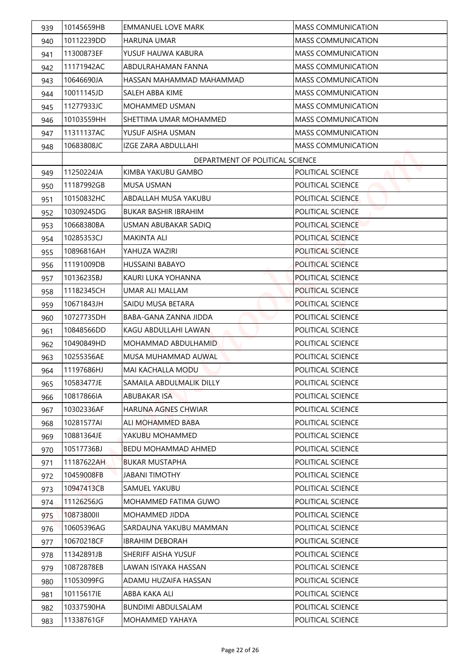| 939 | 10145659HB | <b>EMMANUEL LOVE MARK</b>       | <b>MASS COMMUNICATION</b> |
|-----|------------|---------------------------------|---------------------------|
| 940 | 10112239DD | <b>HARUNA UMAR</b>              | <b>MASS COMMUNICATION</b> |
| 941 | 11300873EF | YUSUF HAUWA KABURA              | <b>MASS COMMUNICATION</b> |
| 942 | 11171942AC | ABDULRAHAMAN FANNA              | <b>MASS COMMUNICATION</b> |
| 943 | 10646690JA | HASSAN MAHAMMAD MAHAMMAD        | <b>MASS COMMUNICATION</b> |
| 944 | 10011145JD | SALEH ABBA KIME                 | <b>MASS COMMUNICATION</b> |
| 945 | 11277933JC | <b>MOHAMMED USMAN</b>           | <b>MASS COMMUNICATION</b> |
| 946 | 10103559HH | SHETTIMA UMAR MOHAMMED          | <b>MASS COMMUNICATION</b> |
| 947 | 11311137AC | YUSUF AISHA USMAN               | <b>MASS COMMUNICATION</b> |
| 948 | 10683808JC | <b>IZGE ZARA ABDULLAHI</b>      | <b>MASS COMMUNICATION</b> |
|     |            | DEPARTMENT OF POLITICAL SCIENCE |                           |
| 949 | 11250224JA | KIMBA YAKUBU GAMBO              | POLITICAL SCIENCE         |
| 950 | 11187992GB | <b>MUSA USMAN</b>               | POLITICAL SCIENCE         |
| 951 | 10150832HC | ABDALLAH MUSA YAKUBU            | POLITICAL SCIENCE         |
| 952 | 10309245DG | <b>BUKAR BASHIR IBRAHIM</b>     | POLITICAL SCIENCE         |
| 953 | 10668380BA | USMAN ABUBAKAR SADIQ            | POLITICAL SCIENCE         |
| 954 | 10285353CJ | <b>MAKINTA ALI</b>              | POLITICAL SCIENCE         |
| 955 | 10896816AH | YAHUZA WAZIRI                   | POLITICAL SCIENCE         |
| 956 | 11191009DB | <b>HUSSAINI BABAYO</b>          | POLITICAL SCIENCE         |
| 957 | 10136235BJ | KAURI LUKA YOHANNA              | POLITICAL SCIENCE         |
| 958 | 11182345CH | UMAR ALI MALLAM                 | <b>POLITICAL SCIENCE</b>  |
| 959 | 10671843JH | SAIDU MUSA BETARA               | POLITICAL SCIENCE         |
| 960 | 10727735DH | BABA-GANA ZANNA JIDDA           | POLITICAL SCIENCE         |
| 961 | 10848566DD | KAGU ABDULLAHI LAWAN            | POLITICAL SCIENCE         |
| 962 | 10490849HD | MOHAMMAD ABDULHAMID             | POLITICAL SCIENCE         |
| 963 | 10255356AE | MUSA MUHAMMAD AUWAL             | POLITICAL SCIENCE         |
| 964 | 11197686HJ | MAI KACHALLA MODU               | POLITICAL SCIENCE         |
| 965 | 10583477JE | SAMAILA ABDULMALIK DILLY        | POLITICAL SCIENCE         |
| 966 | 10817866IA | ABUBAKAR ISA                    | POLITICAL SCIENCE         |
| 967 | 10302336AF | <b>HARUNA AGNES CHWIAR</b>      | POLITICAL SCIENCE         |
| 968 | 10281577AI | ALI MOHAMMED BABA               | POLITICAL SCIENCE         |
| 969 | 10881364JE | YAKUBU MOHAMMED                 | POLITICAL SCIENCE         |
| 970 | 10517736BJ | <b>BEDU MOHAMMAD AHMED</b>      | POLITICAL SCIENCE         |
| 971 | 11187622AH | <b>BUKAR MUSTAPHA</b>           | POLITICAL SCIENCE         |
| 972 | 10459008FB | <b>JABANI TIMOTHY</b>           | POLITICAL SCIENCE         |
| 973 | 10947413CB | SAMUEL YAKUBU                   | POLITICAL SCIENCE         |
| 974 | 11126256JG | MOHAMMED FATIMA GUWO            | POLITICAL SCIENCE         |
| 975 | 10873800II | MOHAMMED JIDDA                  | POLITICAL SCIENCE         |
| 976 | 10605396AG | SARDAUNA YAKUBU MAMMAN          | POLITICAL SCIENCE         |
| 977 | 10670218CF | <b>IBRAHIM DEBORAH</b>          | POLITICAL SCIENCE         |
| 978 | 11342891JB | SHERIFF AISHA YUSUF             | POLITICAL SCIENCE         |
| 979 | 10872878EB | LAWAN ISIYAKA HASSAN            | POLITICAL SCIENCE         |
| 980 | 11053099FG | ADAMU HUZAIFA HASSAN            | POLITICAL SCIENCE         |
| 981 | 10115617IE | ABBA KAKA ALI                   | POLITICAL SCIENCE         |
| 982 | 10337590HA | BUNDIMI ABDULSALAM              | POLITICAL SCIENCE         |
| 983 | 11338761GF | MOHAMMED YAHAYA                 | POLITICAL SCIENCE         |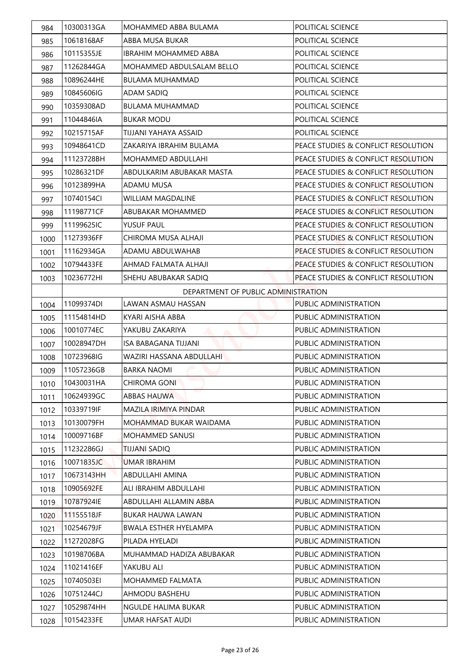| 984  | 10300313GA  | MOHAMMED ABBA BULAMA                | POLITICAL SCIENCE                   |
|------|-------------|-------------------------------------|-------------------------------------|
| 985  | 10618168AF  | ABBA MUSA BUKAR                     | POLITICAL SCIENCE                   |
| 986  | 10115355JE  | IBRAHIM MOHAMMFD ABBA               | POLITICAL SCIENCE                   |
| 987  | 11262844GA  | MOHAMMED ABDULSALAM BELLO           | POLITICAL SCIENCE                   |
| 988  | 10896244HE  | BULAMA MUHAMMAD                     | POLITICAL SCIENCE                   |
| 989  | 10845606IG  | ADAM SADIQ                          | POLITICAL SCIENCE                   |
| 990  | 10359308AD  | <b>BULAMA MUHAMMAD</b>              | POLITICAL SCIENCE                   |
| 991  | 11044846IA  | <b>BUKAR MODU</b>                   | POLITICAL SCIENCE                   |
| 992  | 10215715AF  | TIJJANI YAHAYA ASSAID               | POLITICAL SCIENCE                   |
| 993  | 10948641CD  | ZAKARIYA IBRAHIM BULAMA             | PEACE STUDIES & CONFLICT RESOLUTION |
| 994  | 11123728BH  | <b>MOHAMMED ABDULLAHI</b>           | PEACE STUDIES & CONFLICT RESOLUTION |
| 995  | 10286321DF  | ABDULKARIM ABUBAKAR MASTA           | PEACE STUDIES & CONFLICT RESOLUTION |
| 996  | 10123899HA  | <b>ADAMU MUSA</b>                   | PEACE STUDIES & CONFLICT RESOLUTION |
| 997  | 10740154Cl  | WILLIAM MAGDALINE                   | PEACE STUDIES & CONFLICT RESOLUTION |
| 998  | 11198771CF  | ABUBAKAR MOHAMMED                   | PEACE STUDIES & CONFLICT RESOLUTION |
| 999  | 11199625IC  | <b>YUSUF PAUL</b>                   | PEACE STUDIES & CONFLICT RESOLUTION |
| 1000 | l11273936FF | CHIROMA MUSA ALHAJI                 | PEACE STUDIES & CONFLICT RESOLUTION |
| 1001 | 11162934GA  | ADAMU ABDULWAHAB                    | PEACE STUDIES & CONFLICT RESOLUTION |
| 1002 | 10794433FE  | AHMAD FALMATA ALHAJI                | PEACE STUDIES & CONFLICT RESOLUTION |
| 1003 | 10236772HI  | SHEHU ABUBAKAR SADIQ                | PEACE STUDIES & CONFLICT RESOLUTION |
|      |             | DEPARTMENT OF PUBLIC ADMINISTRATION |                                     |
| 1004 | 11099374DI  | LAWAN ASMAU HASSAN                  | <b>PUBLIC ADMINISTRATION</b>        |
| 1005 | 11154814HD  | KYARI AISHA ABBA                    | PUBLIC ADMINISTRATION               |
| 1006 | 10010774EC  | YAKUBU ZAKARIYA                     | <b>PUBLIC ADMINISTRATION</b>        |
| 1007 | 10028947DH  | <b>ISA BABAGANA TIJJANI</b>         | PUBLIC ADMINISTRATION               |
| 1008 | 10723968IG  | WAZIRI HASSANA ABDULLAHI            | PUBLIC ADMINISTRATION               |
| 1009 | 11057236GB  | <b>BARKA NAOMI</b>                  | PUBLIC ADMINISTRATION               |
| 1010 | 10430031HA  | <b>CHIROMA GONI</b>                 | PUBLIC ADMINISTRATION               |
| 1011 | 10624939GC  | <b>ABBAS HAUWA</b>                  | PUBLIC ADMINISTRATION               |
| 1012 | 10339719IF  | MAZILA IRIMIYA PINDAR               | PUBLIC ADMINISTRATION               |
| 1013 | 10130079FH  | MOHAMMAD BUKAR WAIDAMA              | PUBLIC ADMINISTRATION               |
| 1014 | 10009716BF  | MOHAMMED SANUSI                     | PUBLIC ADMINISTRATION               |
| 1015 | 11232286GJ  | TIJJANI SADIQ                       | PUBLIC ADMINISTRATION               |
| 1016 | 10071835JC  | <b>UMAR IBRAHIM</b>                 | PUBLIC ADMINISTRATION               |
| 1017 | 10673143HH  | ABDULLAHI AMINA                     | PUBLIC ADMINISTRATION               |
| 1018 | 10905692FE  | ALI IBRAHIM ABDULLAHI               | PUBLIC ADMINISTRATION               |
| 1019 | 10787924IE  | ABDULLAHI ALLAMIN ABBA              | PUBLIC ADMINISTRATION               |
| 1020 | 11155518JF  | BUKAR HAUWA LAWAN                   | PUBLIC ADMINISTRATION               |
| 1021 | 10254679JF  | <b>BWALA ESTHER HYELAMPA</b>        | PUBLIC ADMINISTRATION               |
| 1022 | 11272028FG  | PILADA HYELADI                      | PUBLIC ADMINISTRATION               |
| 1023 | 10198706BA  | MUHAMMAD HADIZA ABUBAKAR            | PUBLIC ADMINISTRATION               |
| 1024 | 11021416EF  | YAKUBU ALI                          | PUBLIC ADMINISTRATION               |
| 1025 | 10740503EI  | MOHAMMED FALMATA                    | PUBLIC ADMINISTRATION               |
| 1026 | 10751244CJ  | AHMODU BASHEHU                      | PUBLIC ADMINISTRATION               |
| 1027 | 10529874HH  | NGULDE HALIMA BUKAR                 | PUBLIC ADMINISTRATION               |
| 1028 | 10154233FE  | UMAR HAFSAT AUDI                    | PUBLIC ADMINISTRATION               |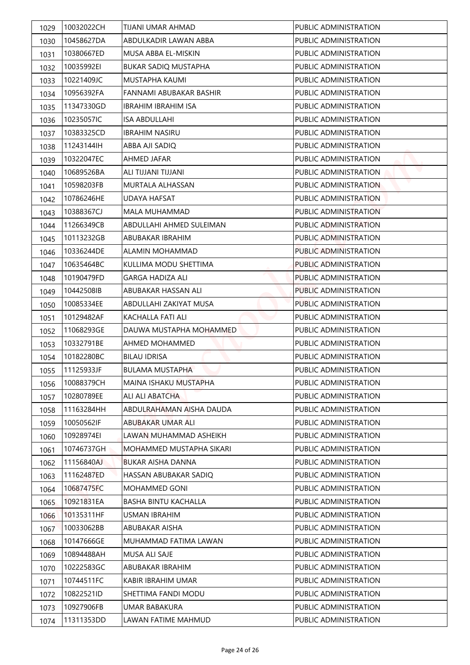| 1029 | 10032022CH | TIJANI UMAR AHMAD           | PUBLIC ADMINISTRATION        |
|------|------------|-----------------------------|------------------------------|
| 1030 | 10458627DA | ABDULKADIR LAWAN ABBA       | PUBLIC ADMINISTRATION        |
| 1031 | 10380667ED | MUSA ABBA EL-MISKIN         | PUBLIC ADMINISTRATION        |
| 1032 | 10035992EI | <b>BUKAR SADIQ MUSTAPHA</b> | PUBLIC ADMINISTRATION        |
| 1033 | 10221409JC | <b>MUSTAPHA KAUMI</b>       | PUBLIC ADMINISTRATION        |
| 1034 | 10956392FA | FANNAMI ABUBAKAR BASHIR     | PUBLIC ADMINISTRATION        |
| 1035 | 11347330GD | <b>IBRAHIM IBRAHIM ISA</b>  | PUBLIC ADMINISTRATION        |
| 1036 | 10235057IC | <b>ISA ABDULLAHI</b>        | PUBLIC ADMINISTRATION        |
| 1037 | 10383325CD | <b>IBRAHIM NASIRU</b>       | PUBLIC ADMINISTRATION        |
| 1038 | 11243144IH | ABBA AJI SADIQ              | PUBLIC ADMINISTRATION        |
| 1039 | 10322047EC | AHMED JAFAR                 | PUBLIC ADMINISTRATION        |
| 1040 | 10689526BA | ALI TIJJANI TIJJANI         | PUBLIC ADMINISTRATION        |
| 1041 | 10598203FB | <b>MURTALA ALHASSAN</b>     | <b>PUBLIC ADMINISTRATION</b> |
| 1042 | 10786246HE | UDAYA HAFSAT                | PUBLIC ADMINISTRATION        |
| 1043 | 10388367CJ | <b>MALA MUHAMMAD</b>        | <b>PUBLIC ADMINISTRATION</b> |
| 1044 | 11266349CB | ABDULLAHI AHMED SULEIMAN    | PUBLIC ADMINISTRATION        |
| 1045 | 10113232GB | ABUBAKAR IBRAHIM            | PUBLIC ADMINISTRATION        |
| 1046 | 10336244DE | ALAMIN MOHAMMAD             | PUBLIC ADMINISTRATION        |
| 1047 | 10635464BC | KULLIMA MODU SHETTIMA       | PUBLIC ADMINISTRATION        |
| 1048 | 10190479FD | <b>GARGA HADIZA ALI</b>     | PUBLIC ADMINISTRATION        |
| 1049 | 10442508IB | ABUBAKAR HASSAN ALI         | <b>PUBLIC ADMINISTRATION</b> |
| 1050 | 10085334EE | ABDULLAHI ZAKIYAT MUSA      | PUBLIC ADMINISTRATION        |
| 1051 | 10129482AF | <b>KACHALLA FATI ALI</b>    | PUBLIC ADMINISTRATION        |
| 1052 | 11068293GE | DAUWA MUSTAPHA MOHAMMED     | PUBLIC ADMINISTRATION        |
| 1053 | 10332791BE | <b>AHMED MOHAMMED</b>       | PUBLIC ADMINISTRATION        |
| 1054 | 10182280BC | <b>BILAU IDRISA</b>         | PUBLIC ADMINISTRATION        |
| 1055 | 11125933JF | <b>BULAMA MUSTAPHA</b>      | PUBLIC ADMINISTRATION        |
| 1056 | 10088379CH | MAINA ISHAKU MUSTAPHA       | PUBLIC ADMINISTRATION        |
| 1057 | 10280789EE | ALI ALI ABATCHA             | PUBLIC ADMINISTRATION        |
| 1058 | 11163284HH | ABDULRAHAMAN AISHA DAUDA    | PUBLIC ADMINISTRATION        |
| 1059 | 10050562IF | ABUBAKAR UMAR ALI           | PUBLIC ADMINISTRATION        |
| 1060 | 10928974EI | LAWAN MUHAMMAD ASHEIKH      | PUBLIC ADMINISTRATION        |
| 1061 | 10746737GH | MOHAMMED MUSTAPHA SIKARI    | PUBLIC ADMINISTRATION        |
| 1062 | 11156840AJ | BUKAR AISHA DANNA           | PUBLIC ADMINISTRATION        |
| 1063 | 11162487ED | HASSAN ABUBAKAR SADIQ       | PUBLIC ADMINISTRATION        |
| 1064 | 10687475FC | MOHAMMED GONI               | PUBLIC ADMINISTRATION        |
| 1065 | 10921831EA | BASHA BINTU KACHALLA        | PUBLIC ADMINISTRATION        |
| 1066 | 10135311HF | <b>USMAN IBRAHIM</b>        | PUBLIC ADMINISTRATION        |
| 1067 | 10033062BB | ABUBAKAR AISHA              | PUBLIC ADMINISTRATION        |
| 1068 | 10147666GE | MUHAMMAD FATIMA LAWAN       | PUBLIC ADMINISTRATION        |
| 1069 | 10894488AH | MUSA ALI SAJE               | PUBLIC ADMINISTRATION        |
| 1070 | 10222583GC | ABUBAKAR IBRAHIM            | PUBLIC ADMINISTRATION        |
| 1071 | 10744511FC | KABIR IBRAHIM UMAR          | PUBLIC ADMINISTRATION        |
| 1072 | 10822521ID | SHETTIMA FANDI MODU         | PUBLIC ADMINISTRATION        |
| 1073 | 10927906FB | UMAR BABAKURA               | PUBLIC ADMINISTRATION        |
| 1074 | 11311353DD | LAWAN FATIME MAHMUD         | PUBLIC ADMINISTRATION        |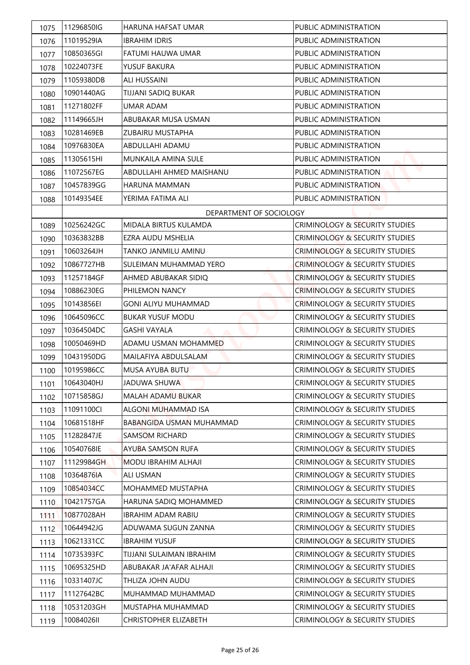| 1075 | 11296850IG | HARUNA HAFSAT UMAR           | <b>PUBLIC ADMINISTRATION</b>              |
|------|------------|------------------------------|-------------------------------------------|
| 1076 | 11019529IA | <b>IBRAHIM IDRIS</b>         | PUBLIC ADMINISTRATION                     |
| 1077 | 10850365GI | FATUMI HAUWA UMAR            | PUBLIC ADMINISTRATION                     |
| 1078 | 10224073FE | YUSUF BAKURA                 | PUBLIC ADMINISTRATION                     |
| 1079 | 11059380DB | <b>ALI HUSSAINI</b>          | PUBLIC ADMINISTRATION                     |
| 1080 | 10901440AG | TIJJANI SADIQ BUKAR          | PUBLIC ADMINISTRATION                     |
| 1081 | 11271802FF | <b>UMAR ADAM</b>             | PUBLIC ADMINISTRATION                     |
| 1082 | 11149665JH | ABUBAKAR MUSA USMAN          | PUBLIC ADMINISTRATION                     |
| 1083 | 10281469EB | ZUBAIRU MUSTAPHA             | PUBLIC ADMINISTRATION                     |
| 1084 | 10976830EA | ABDULLAHI ADAMU              | PUBLIC ADMINISTRATION                     |
| 1085 | 11305615HI | MUNKAILA AMINA SULE          | PUBLIC ADMINISTRATION                     |
| 1086 | 11072567EG | ABDULLAHI AHMED MAISHANU     | PUBLIC ADMINISTRATION                     |
| 1087 | 10457839GG | <b>HARUNA MAMMAN</b>         | PUBLIC ADMINISTRATION                     |
| 1088 | 10149354EE | YERIMA FATIMA ALI            | PUBLIC ADMINISTRATION                     |
|      |            | DEPARTMENT OF SOCIOLOGY      |                                           |
| 1089 | 10256242GC | <b>MIDALA BIRTUS KULAMDA</b> | <b>CRIMINOLOGY &amp; SECURITY STUDIES</b> |
| 1090 | 10363832BB | EZRA AUDU MSHELIA            | <b>CRIMINOLOGY &amp; SECURITY STUDIES</b> |
| 1091 | 10603264JH | TANKO JANMILU AMINU          | <b>CRIMINOLOGY &amp; SECURITY STUDIES</b> |
| 1092 | 10867727HB | SULEIMAN MUHAMMAD YERO       | <b>CRIMINOLOGY &amp; SECURITY STUDIES</b> |
| 1093 | 11257184GF | AHMED ABUBAKAR SIDIQ         | <b>CRIMINOLOGY &amp; SECURITY STUDIES</b> |
| 1094 | 10886230EG | PHILEMON NANCY               | <b>CRIMINOLOGY &amp; SECURITY STUDIES</b> |
| 1095 | 10143856EI | <b>GONI ALIYU MUHAMMAD</b>   | <b>CRIMINOLOGY &amp; SECURITY STUDIES</b> |
| 1096 | 10645096CC | <b>BUKAR YUSUF MODU</b>      | <b>CRIMINOLOGY &amp; SECURITY STUDIES</b> |
| 1097 | 10364504DC | <b>GASHI VAYALA</b>          | <b>CRIMINOLOGY &amp; SECURITY STUDIES</b> |
| 1098 | 10050469HD | ADAMU USMAN MOHAMMED         | <b>CRIMINOLOGY &amp; SECURITY STUDIES</b> |
| 1099 | 10431950DG | MAILAFIYA ABDULSALAM         | <b>CRIMINOLOGY &amp; SECURITY STUDIES</b> |
| 1100 | 10195986CC | MUSA AYUBA BUTU              | CRIMINOLOGY & SECURITY STUDIES            |
| 1101 | 10643040HJ | JADUWA SHUWA                 | CRIMINOLOGY & SECURITY STUDIES            |
| 1102 | 10715858GJ | MALAH ADAMU BUKAR            | CRIMINOLOGY & SECURITY STUDIES            |
| 1103 | 11091100CI | ALGONI MUHAMMAD ISA          | CRIMINOLOGY & SECURITY STUDIES            |
| 1104 | 10681518HF | BABANGIDA USMAN MUHAMMAD     | <b>CRIMINOLOGY &amp; SECURITY STUDIES</b> |
| 1105 | 11282847JE | <b>SAMSOM RICHARD</b>        | CRIMINOLOGY & SECURITY STUDIES            |
| 1106 | 10540768IE | <b>AYUBA SAMSON RUFA</b>     | CRIMINOLOGY & SECURITY STUDIES            |
| 1107 | 11129984GH | MODU IBRAHIM ALHAJI          | CRIMINOLOGY & SECURITY STUDIES            |
| 1108 | 10364876IA | ALI USMAN                    | CRIMINOLOGY & SECURITY STUDIES            |
| 1109 | 10854034CC | MOHAMMED MUSTAPHA            | CRIMINOLOGY & SECURITY STUDIES            |
| 1110 | 10421757GA | HARUNA SADIQ MOHAMMED        | CRIMINOLOGY & SECURITY STUDIES            |
| 1111 | 10877028AH | <b>IBRAHIM ADAM RABIU</b>    | CRIMINOLOGY & SECURITY STUDIES            |
| 1112 | 10644942JG | ADUWAMA SUGUN ZANNA          | CRIMINOLOGY & SECURITY STUDIES            |
| 1113 | 10621331CC | <b>IBRAHIM YUSUF</b>         | CRIMINOLOGY & SECURITY STUDIES            |
| 1114 | 10735393FC | TIJJANI SULAIMAN IBRAHIM     | CRIMINOLOGY & SECURITY STUDIES            |
| 1115 | 10695325HD | ABUBAKAR JA'AFAR ALHAJI      | CRIMINOLOGY & SECURITY STUDIES            |
| 1116 | 10331407JC | THLIZA JOHN AUDU             | CRIMINOLOGY & SECURITY STUDIES            |
| 1117 | 11127642BC | MUHAMMAD MUHAMMAD            | CRIMINOLOGY & SECURITY STUDIES            |
| 1118 | 10531203GH | MUSTAPHA MUHAMMAD            | CRIMINOLOGY & SECURITY STUDIES            |
| 1119 | 10084026II | CHRISTOPHER ELIZABETH        | CRIMINOLOGY & SECURITY STUDIES            |